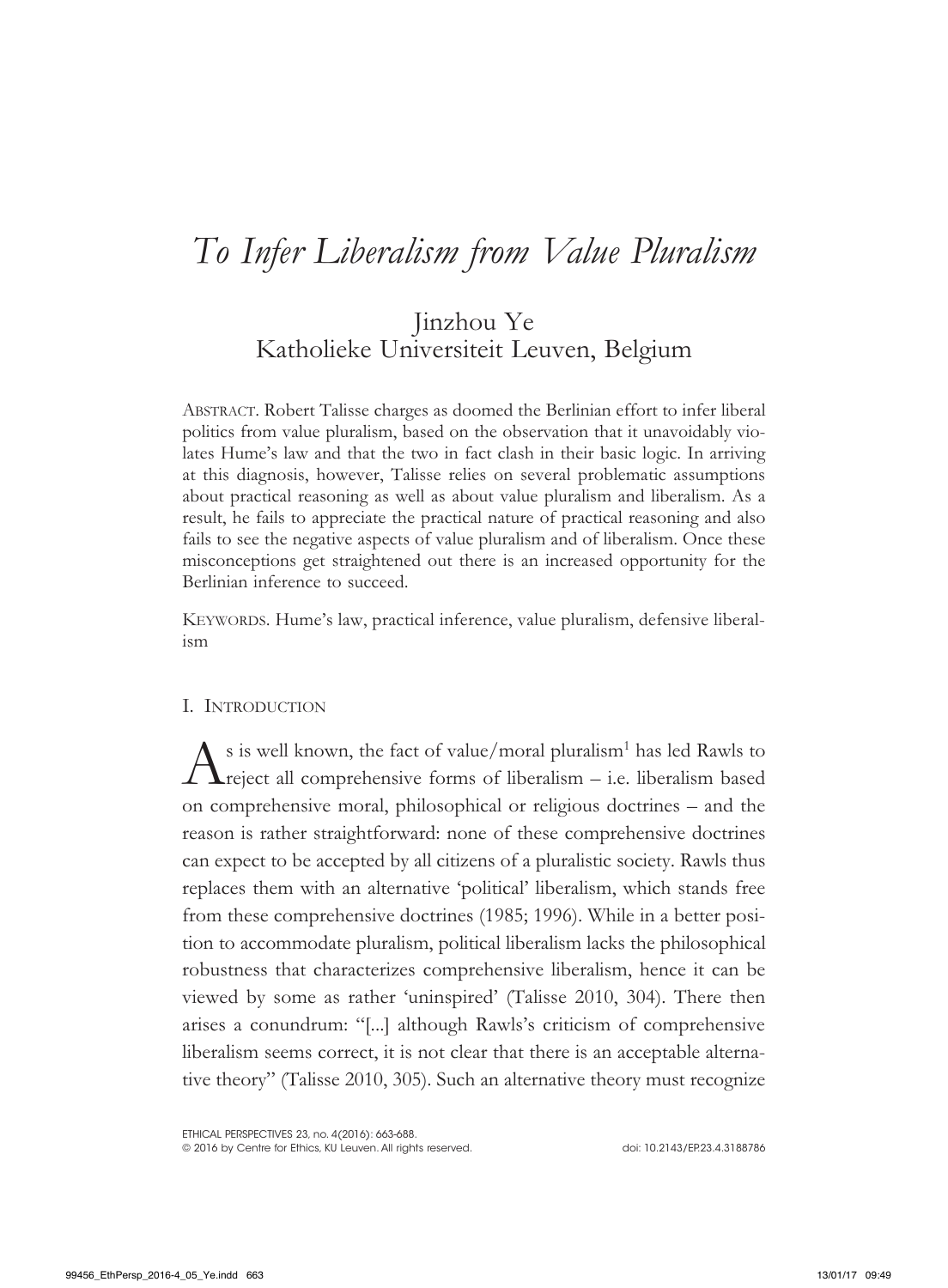# *To Infer Liberalism from Value Pluralism*

## Jinzhou Ye Katholieke Universiteit Leuven, Belgium

Abstract. Robert Talisse charges as doomed the Berlinian effort to infer liberal politics from value pluralism, based on the observation that it unavoidably violates Hume's law and that the two in fact clash in their basic logic. In arriving at this diagnosis, however, Talisse relies on several problematic assumptions about practical reasoning as well as about value pluralism and liberalism. As a result, he fails to appreciate the practical nature of practical reasoning and also fails to see the negative aspects of value pluralism and of liberalism. Once these misconceptions get straightened out there is an increased opportunity for the Berlinian inference to succeed.

KEYWORDS. Hume's law, practical inference, value pluralism, defensive liberalism

#### I. Introduction

 $A^{\text{s}}$  is well known, the fact of value/moral pluralism<sup>1</sup> has led Rawls to reject all comprehensive forms of liberalism – i.e. liberalism based  $\blacktriangle$ reject all comprehensive forms of liberalism – i.e. liberalism based on comprehensive moral, philosophical or religious doctrines – and the reason is rather straightforward: none of these comprehensive doctrines can expect to be accepted by all citizens of a pluralistic society. Rawls thus replaces them with an alternative 'political' liberalism, which stands free from these comprehensive doctrines (1985; 1996). While in a better position to accommodate pluralism, political liberalism lacks the philosophical robustness that characterizes comprehensive liberalism, hence it can be viewed by some as rather 'uninspired' (Talisse 2010, 304). There then arises a conundrum: "[...] although Rawls's criticism of comprehensive liberalism seems correct, it is not clear that there is an acceptable alternative theory" (Talisse 2010, 305). Such an alternative theory must recognize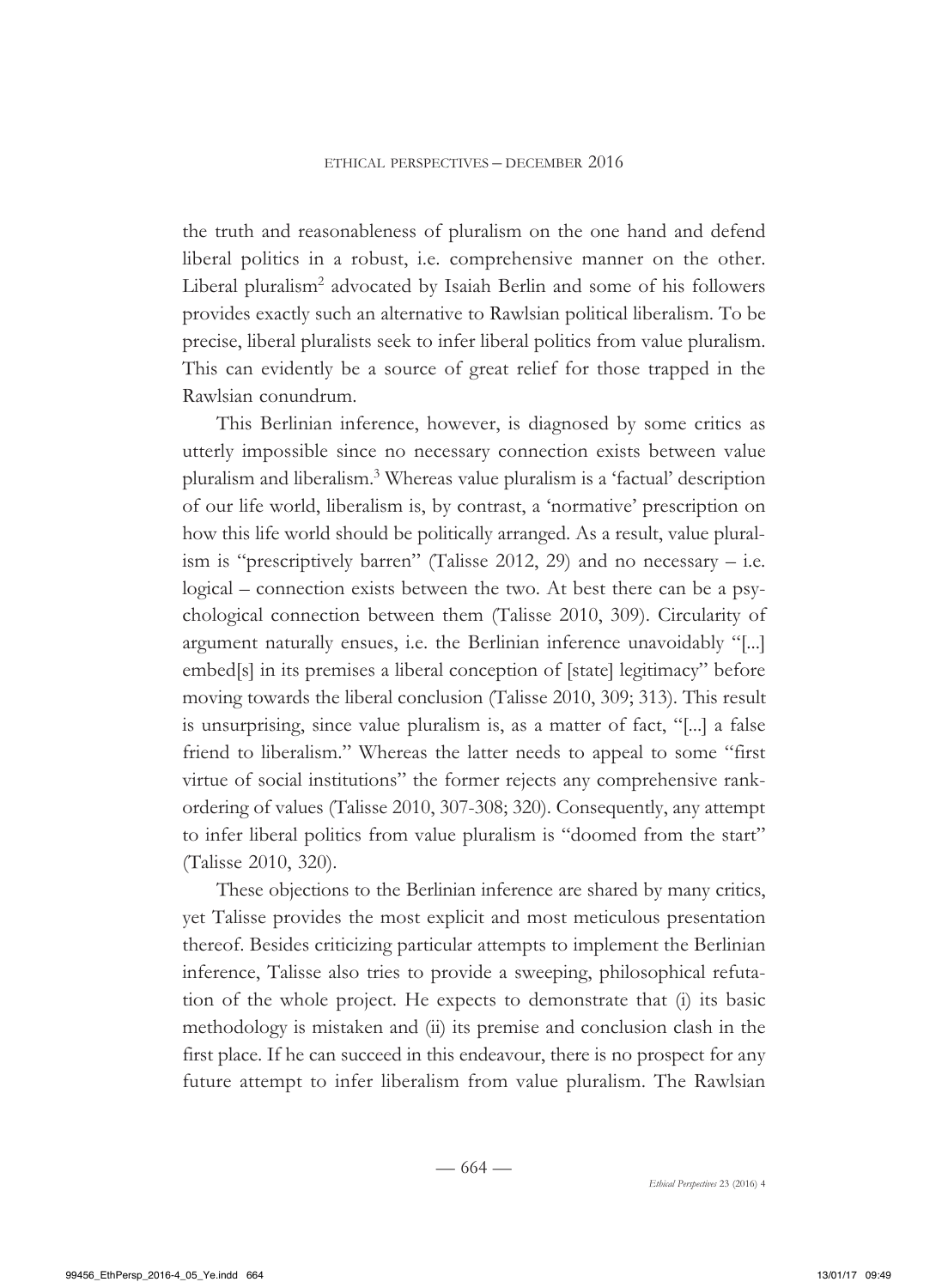the truth and reasonableness of pluralism on the one hand and defend liberal politics in a robust, i.e. comprehensive manner on the other. Liberal pluralism<sup>2</sup> advocated by Isaiah Berlin and some of his followers provides exactly such an alternative to Rawlsian political liberalism. To be precise, liberal pluralists seek to infer liberal politics from value pluralism. This can evidently be a source of great relief for those trapped in the Rawlsian conundrum.

This Berlinian inference, however, is diagnosed by some critics as utterly impossible since no necessary connection exists between value pluralism and liberalism.3 Whereas value pluralism is a 'factual' description of our life world, liberalism is, by contrast, a 'normative' prescription on how this life world should be politically arranged. As a result, value pluralism is "prescriptively barren" (Talisse  $2012$ , 29) and no necessary – i.e. logical – connection exists between the two. At best there can be a psychological connection between them (Talisse 2010, 309). Circularity of argument naturally ensues, i.e. the Berlinian inference unavoidably "[...] embed[s] in its premises a liberal conception of [state] legitimacy" before moving towards the liberal conclusion (Talisse 2010, 309; 313). This result is unsurprising, since value pluralism is, as a matter of fact, "[...] a false friend to liberalism." Whereas the latter needs to appeal to some "first virtue of social institutions" the former rejects any comprehensive rankordering of values (Talisse 2010, 307-308; 320). Consequently, any attempt to infer liberal politics from value pluralism is "doomed from the start" (Talisse 2010, 320).

These objections to the Berlinian inference are shared by many critics, yet Talisse provides the most explicit and most meticulous presentation thereof. Besides criticizing particular attempts to implement the Berlinian inference, Talisse also tries to provide a sweeping, philosophical refutation of the whole project. He expects to demonstrate that (i) its basic methodology is mistaken and (ii) its premise and conclusion clash in the first place. If he can succeed in this endeavour, there is no prospect for any future attempt to infer liberalism from value pluralism. The Rawlsian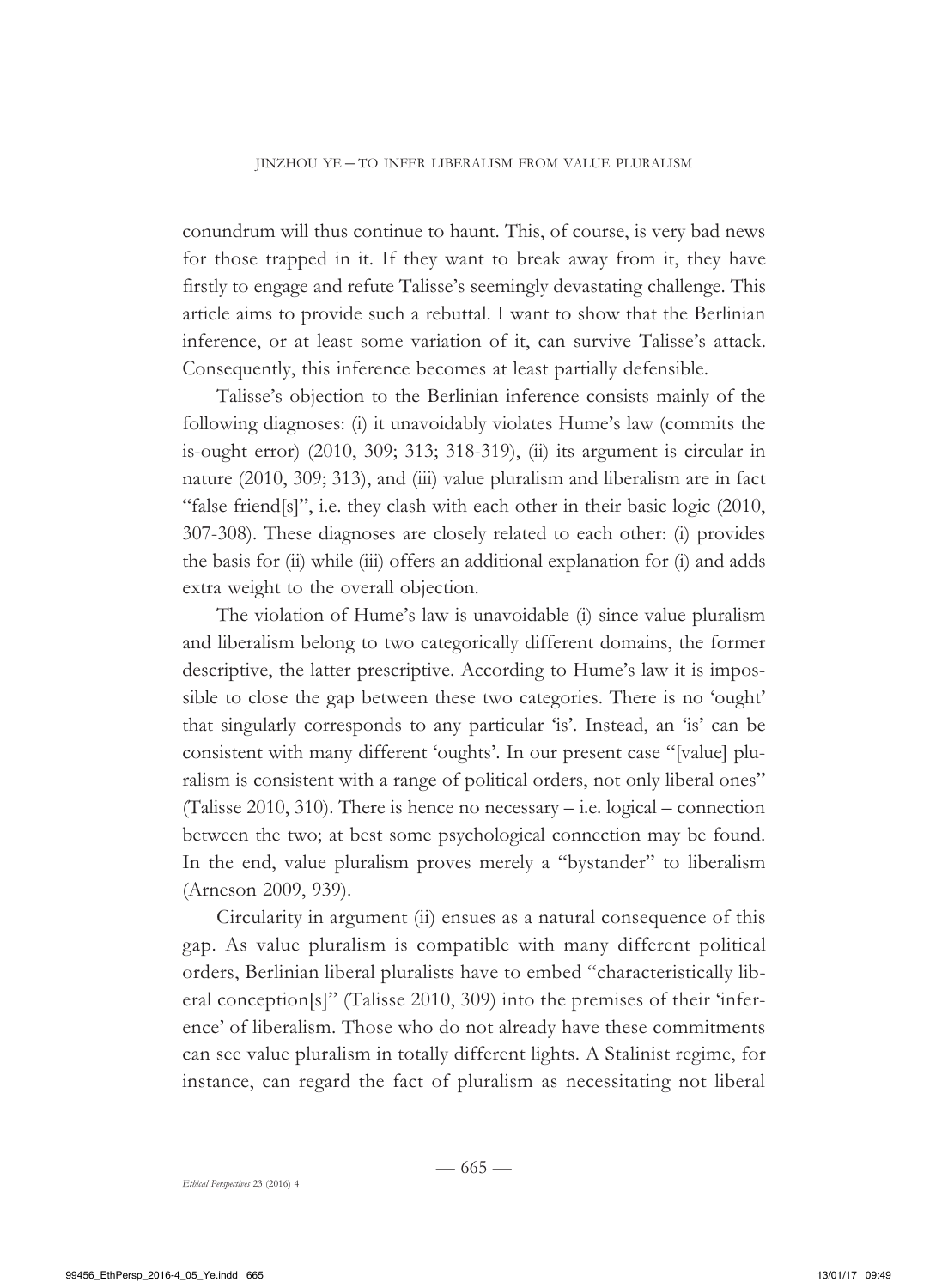conundrum will thus continue to haunt. This, of course, is very bad news for those trapped in it. If they want to break away from it, they have firstly to engage and refute Talisse's seemingly devastating challenge. This article aims to provide such a rebuttal. I want to show that the Berlinian inference, or at least some variation of it, can survive Talisse's attack. Consequently, this inference becomes at least partially defensible.

Talisse's objection to the Berlinian inference consists mainly of the following diagnoses: (i) it unavoidably violates Hume's law (commits the is-ought error) (2010, 309; 313; 318-319), (ii) its argument is circular in nature (2010, 309; 313), and (iii) value pluralism and liberalism are in fact "false friend[s]", i.e. they clash with each other in their basic logic (2010, 307-308). These diagnoses are closely related to each other: (i) provides the basis for (ii) while (iii) offers an additional explanation for (i) and adds extra weight to the overall objection.

The violation of Hume's law is unavoidable (i) since value pluralism and liberalism belong to two categorically different domains, the former descriptive, the latter prescriptive. According to Hume's law it is impossible to close the gap between these two categories. There is no 'ought' that singularly corresponds to any particular 'is'. Instead, an 'is' can be consistent with many different 'oughts'. In our present case "[value] pluralism is consistent with a range of political orders, not only liberal ones" (Talisse 2010, 310). There is hence no necessary – i.e. logical – connection between the two; at best some psychological connection may be found. In the end, value pluralism proves merely a "bystander" to liberalism (Arneson 2009, 939).

Circularity in argument (ii) ensues as a natural consequence of this gap. As value pluralism is compatible with many different political orders, Berlinian liberal pluralists have to embed "characteristically liberal conception[s]" (Talisse 2010, 309) into the premises of their 'inference' of liberalism. Those who do not already have these commitments can see value pluralism in totally different lights. A Stalinist regime, for instance, can regard the fact of pluralism as necessitating not liberal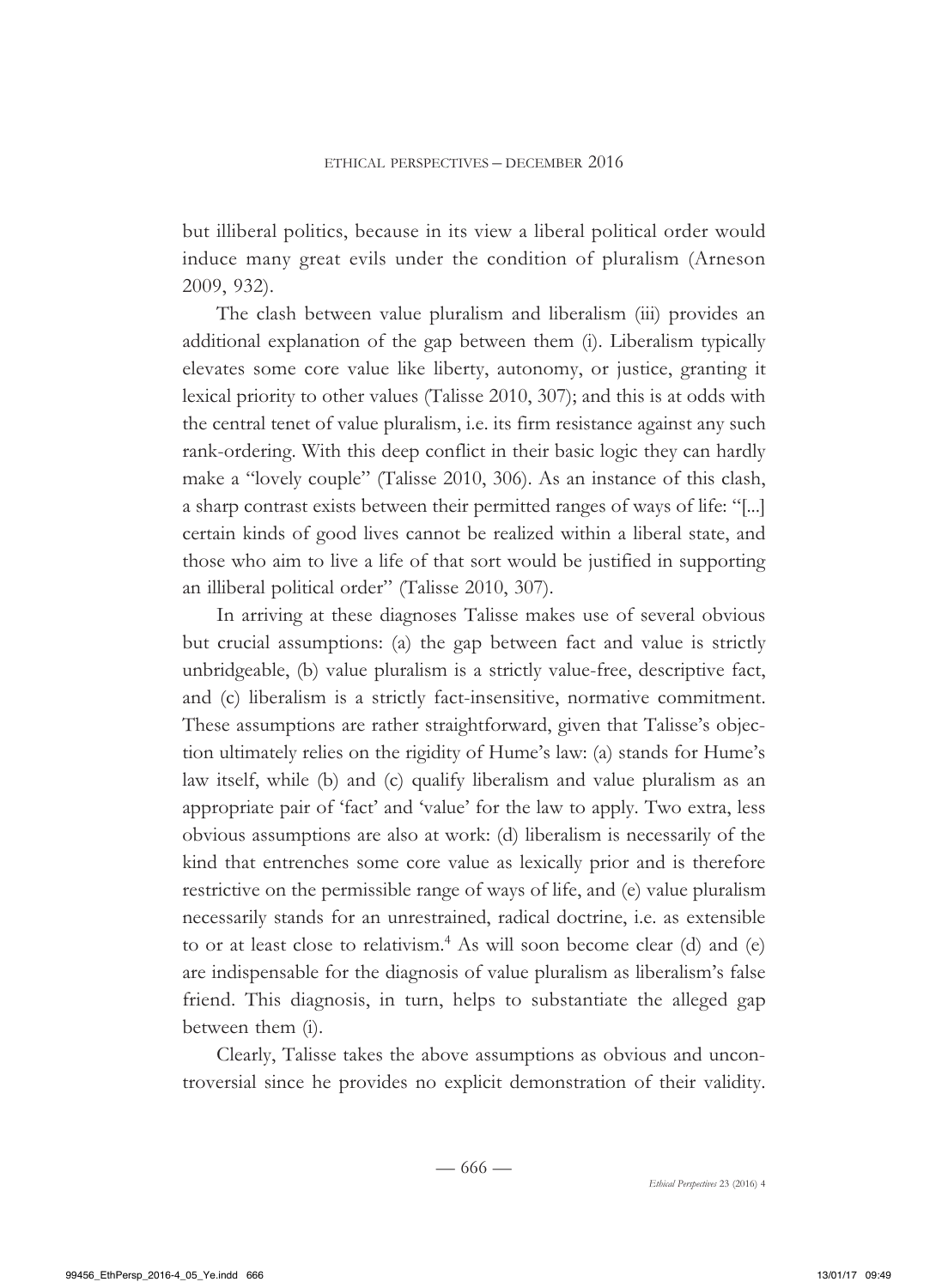but illiberal politics, because in its view a liberal political order would induce many great evils under the condition of pluralism (Arneson 2009, 932).

The clash between value pluralism and liberalism (iii) provides an additional explanation of the gap between them (i). Liberalism typically elevates some core value like liberty, autonomy, or justice, granting it lexical priority to other values (Talisse 2010, 307); and this is at odds with the central tenet of value pluralism, i.e. its firm resistance against any such rank-ordering. With this deep conflict in their basic logic they can hardly make a "lovely couple" (Talisse 2010, 306). As an instance of this clash, a sharp contrast exists between their permitted ranges of ways of life: "[...] certain kinds of good lives cannot be realized within a liberal state, and those who aim to live a life of that sort would be justified in supporting an illiberal political order" (Talisse 2010, 307).

In arriving at these diagnoses Talisse makes use of several obvious but crucial assumptions: (a) the gap between fact and value is strictly unbridgeable, (b) value pluralism is a strictly value-free, descriptive fact, and (c) liberalism is a strictly fact-insensitive, normative commitment. These assumptions are rather straightforward, given that Talisse's objection ultimately relies on the rigidity of Hume's law: (a) stands for Hume's law itself, while (b) and (c) qualify liberalism and value pluralism as an appropriate pair of 'fact' and 'value' for the law to apply. Two extra, less obvious assumptions are also at work: (d) liberalism is necessarily of the kind that entrenches some core value as lexically prior and is therefore restrictive on the permissible range of ways of life, and (e) value pluralism necessarily stands for an unrestrained, radical doctrine, i.e. as extensible to or at least close to relativism.<sup>4</sup> As will soon become clear (d) and (e) are indispensable for the diagnosis of value pluralism as liberalism's false friend. This diagnosis, in turn, helps to substantiate the alleged gap between them (i).

Clearly, Talisse takes the above assumptions as obvious and uncontroversial since he provides no explicit demonstration of their validity.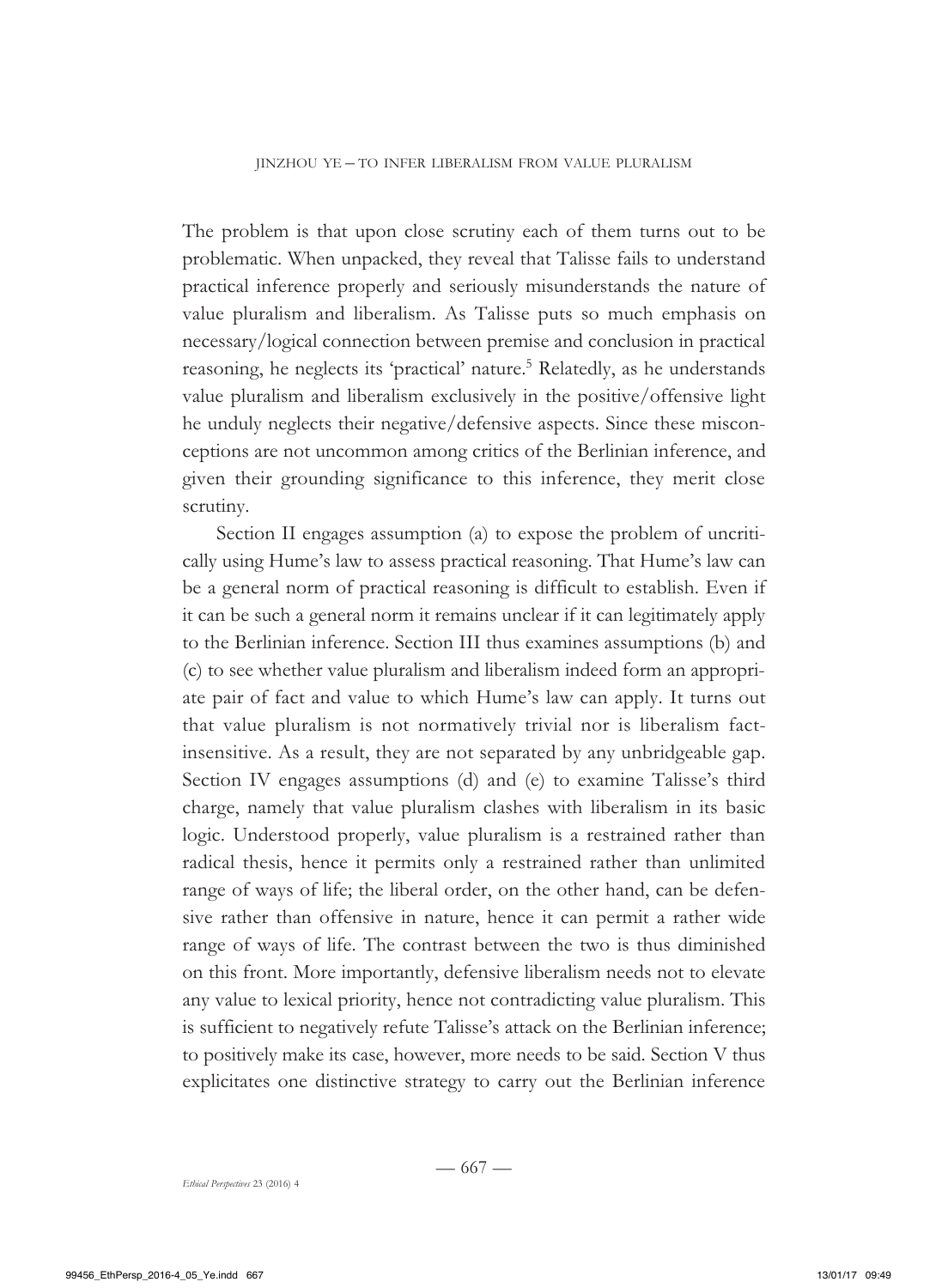The problem is that upon close scrutiny each of them turns out to be problematic. When unpacked, they reveal that Talisse fails to understand practical inference properly and seriously misunderstands the nature of value pluralism and liberalism. As Talisse puts so much emphasis on necessary/logical connection between premise and conclusion in practical reasoning, he neglects its 'practical' nature.<sup>5</sup> Relatedly, as he understands value pluralism and liberalism exclusively in the positive/offensive light he unduly neglects their negative/defensive aspects. Since these misconceptions are not uncommon among critics of the Berlinian inference, and given their grounding significance to this inference, they merit close scrutiny.

Section II engages assumption (a) to expose the problem of uncritically using Hume's law to assess practical reasoning. That Hume's law can be a general norm of practical reasoning is difficult to establish. Even if it can be such a general norm it remains unclear if it can legitimately apply to the Berlinian inference. Section III thus examines assumptions (b) and (c) to see whether value pluralism and liberalism indeed form an appropriate pair of fact and value to which Hume's law can apply. It turns out that value pluralism is not normatively trivial nor is liberalism factinsensitive. As a result, they are not separated by any unbridgeable gap. Section IV engages assumptions (d) and (e) to examine Talisse's third charge, namely that value pluralism clashes with liberalism in its basic logic. Understood properly, value pluralism is a restrained rather than radical thesis, hence it permits only a restrained rather than unlimited range of ways of life; the liberal order, on the other hand, can be defensive rather than offensive in nature, hence it can permit a rather wide range of ways of life. The contrast between the two is thus diminished on this front. More importantly, defensive liberalism needs not to elevate any value to lexical priority, hence not contradicting value pluralism. This is sufficient to negatively refute Talisse's attack on the Berlinian inference; to positively make its case, however, more needs to be said. Section V thus explicitates one distinctive strategy to carry out the Berlinian inference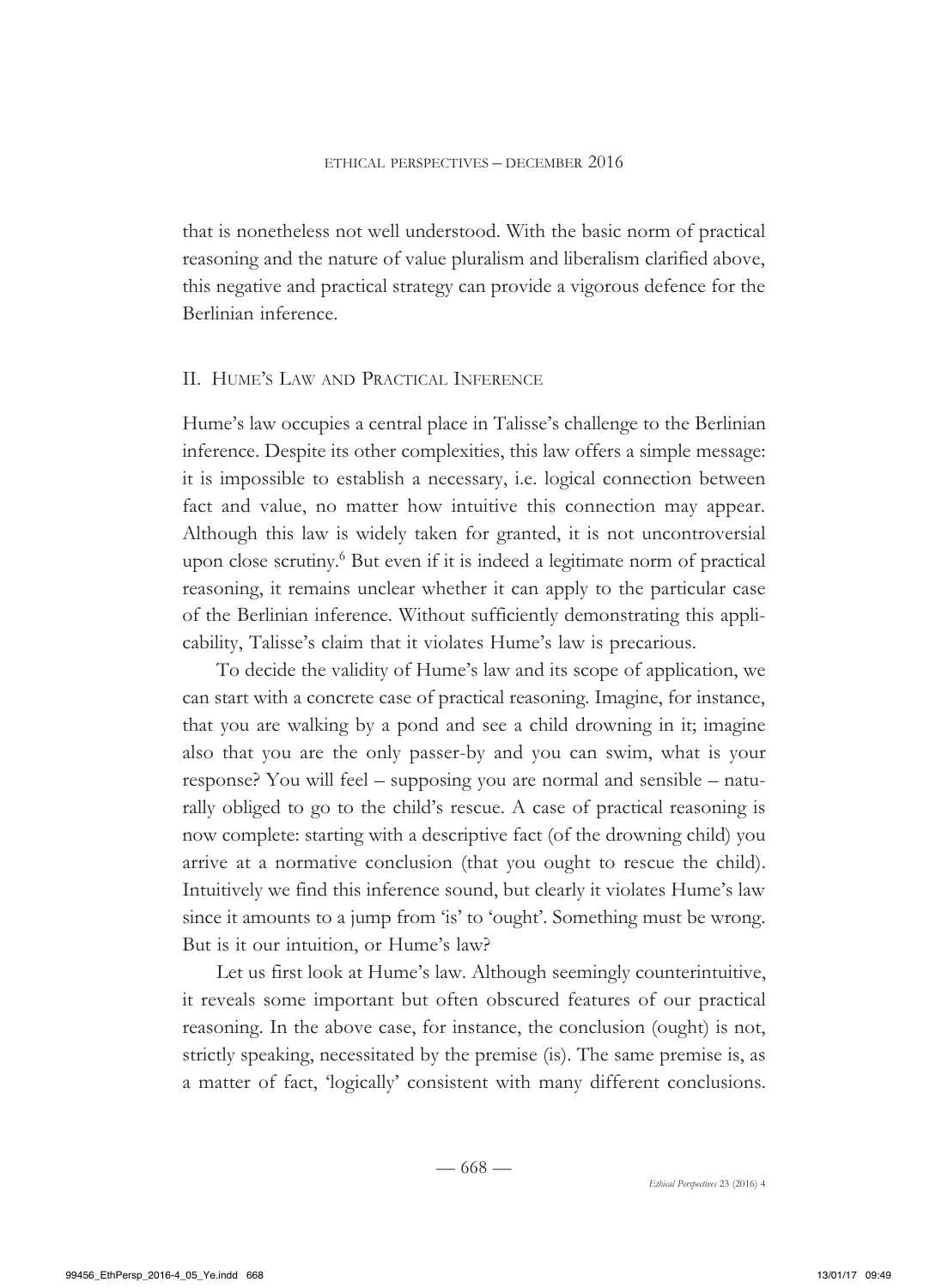that is nonetheless not well understood. With the basic norm of practical reasoning and the nature of value pluralism and liberalism clarified above, this negative and practical strategy can provide a vigorous defence for the Berlinian inference.

### II. Hume's Law and Practical Inference

Hume's law occupies a central place in Talisse's challenge to the Berlinian inference. Despite its other complexities, this law offers a simple message: it is impossible to establish a necessary, i.e. logical connection between fact and value, no matter how intuitive this connection may appear. Although this law is widely taken for granted, it is not uncontroversial upon close scrutiny.<sup>6</sup> But even if it is indeed a legitimate norm of practical reasoning, it remains unclear whether it can apply to the particular case of the Berlinian inference. Without sufficiently demonstrating this applicability, Talisse's claim that it violates Hume's law is precarious.

To decide the validity of Hume's law and its scope of application, we can start with a concrete case of practical reasoning. Imagine, for instance, that you are walking by a pond and see a child drowning in it; imagine also that you are the only passer-by and you can swim, what is your response? You will feel – supposing you are normal and sensible – naturally obliged to go to the child's rescue. A case of practical reasoning is now complete: starting with a descriptive fact (of the drowning child) you arrive at a normative conclusion (that you ought to rescue the child). Intuitively we find this inference sound, but clearly it violates Hume's law since it amounts to a jump from 'is' to 'ought'. Something must be wrong. But is it our intuition, or Hume's law?

Let us first look at Hume's law. Although seemingly counterintuitive, it reveals some important but often obscured features of our practical reasoning. In the above case, for instance, the conclusion (ought) is not, strictly speaking, necessitated by the premise (is). The same premise is, as a matter of fact, 'logically' consistent with many different conclusions.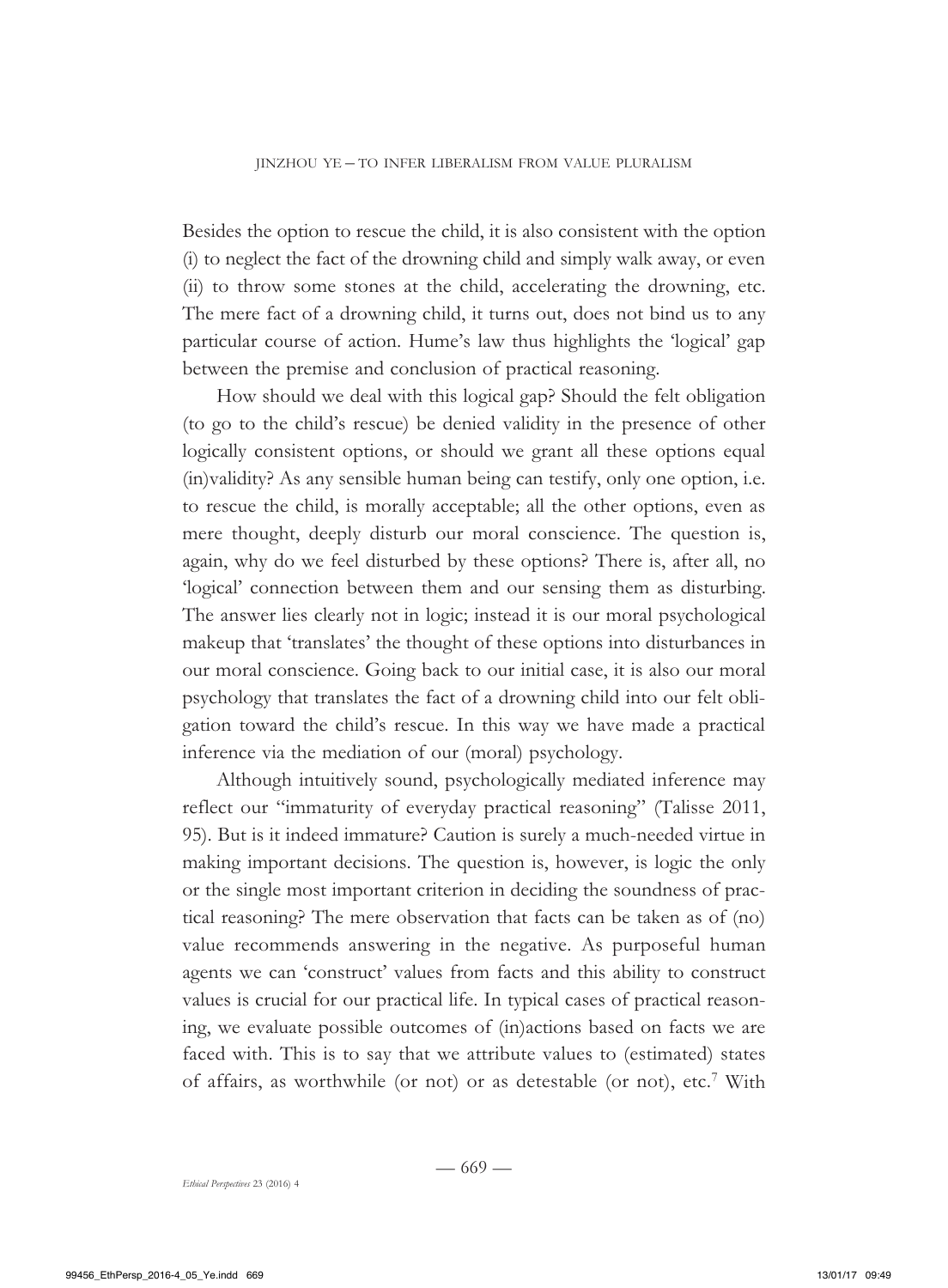Besides the option to rescue the child, it is also consistent with the option (i) to neglect the fact of the drowning child and simply walk away, or even (ii) to throw some stones at the child, accelerating the drowning, etc. The mere fact of a drowning child, it turns out, does not bind us to any particular course of action. Hume's law thus highlights the 'logical' gap between the premise and conclusion of practical reasoning.

How should we deal with this logical gap? Should the felt obligation (to go to the child's rescue) be denied validity in the presence of other logically consistent options, or should we grant all these options equal (in)validity? As any sensible human being can testify, only one option, i.e. to rescue the child, is morally acceptable; all the other options, even as mere thought, deeply disturb our moral conscience. The question is, again, why do we feel disturbed by these options? There is, after all, no 'logical' connection between them and our sensing them as disturbing. The answer lies clearly not in logic; instead it is our moral psychological makeup that 'translates' the thought of these options into disturbances in our moral conscience. Going back to our initial case, it is also our moral psychology that translates the fact of a drowning child into our felt obligation toward the child's rescue. In this way we have made a practical inference via the mediation of our (moral) psychology.

Although intuitively sound, psychologically mediated inference may reflect our "immaturity of everyday practical reasoning" (Talisse 2011, 95). But is it indeed immature? Caution is surely a much-needed virtue in making important decisions. The question is, however, is logic the only or the single most important criterion in deciding the soundness of practical reasoning? The mere observation that facts can be taken as of (no) value recommends answering in the negative. As purposeful human agents we can 'construct' values from facts and this ability to construct values is crucial for our practical life. In typical cases of practical reasoning, we evaluate possible outcomes of (in)actions based on facts we are faced with. This is to say that we attribute values to (estimated) states of affairs, as worthwhile (or not) or as detestable (or not), etc.<sup>7</sup> With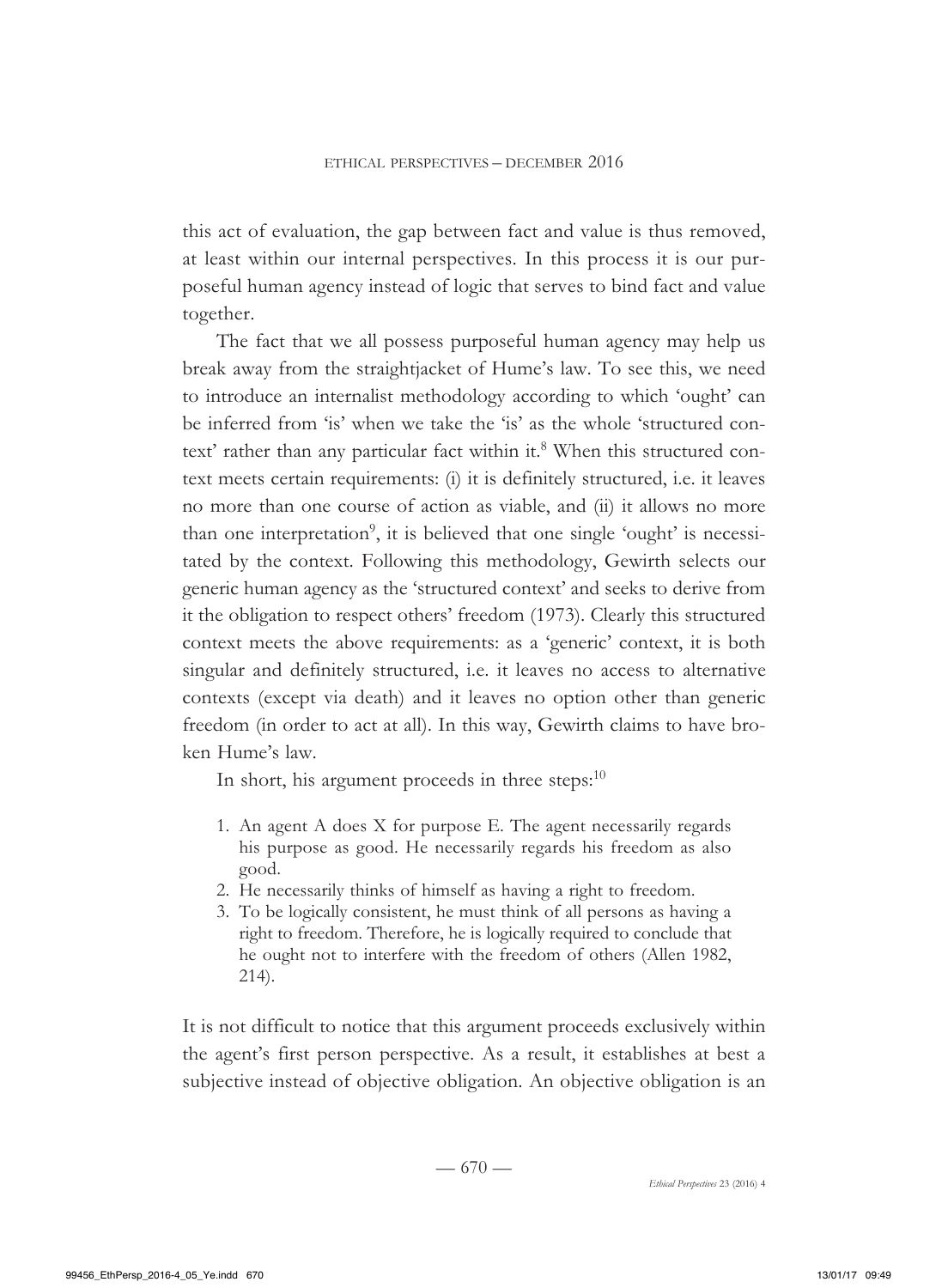this act of evaluation, the gap between fact and value is thus removed, at least within our internal perspectives. In this process it is our purposeful human agency instead of logic that serves to bind fact and value together.

The fact that we all possess purposeful human agency may help us break away from the straightjacket of Hume's law. To see this, we need to introduce an internalist methodology according to which 'ought' can be inferred from 'is' when we take the 'is' as the whole 'structured context' rather than any particular fact within it.<sup>8</sup> When this structured context meets certain requirements: (i) it is definitely structured, i.e. it leaves no more than one course of action as viable, and (ii) it allows no more than one interpretation<sup>9</sup>, it is believed that one single 'ought' is necessitated by the context. Following this methodology, Gewirth selects our generic human agency as the 'structured context' and seeks to derive from it the obligation to respect others' freedom (1973). Clearly this structured context meets the above requirements: as a 'generic' context, it is both singular and definitely structured, i.e. it leaves no access to alternative contexts (except via death) and it leaves no option other than generic freedom (in order to act at all). In this way, Gewirth claims to have broken Hume's law.

In short, his argument proceeds in three steps: $10$ 

- 1. An agent A does X for purpose E. The agent necessarily regards his purpose as good. He necessarily regards his freedom as also good.
- 2. He necessarily thinks of himself as having a right to freedom.
- 3. To be logically consistent, he must think of all persons as having a right to freedom. Therefore, he is logically required to conclude that he ought not to interfere with the freedom of others (Allen 1982, 214).

It is not difficult to notice that this argument proceeds exclusively within the agent's first person perspective. As a result, it establishes at best a subjective instead of objective obligation. An objective obligation is an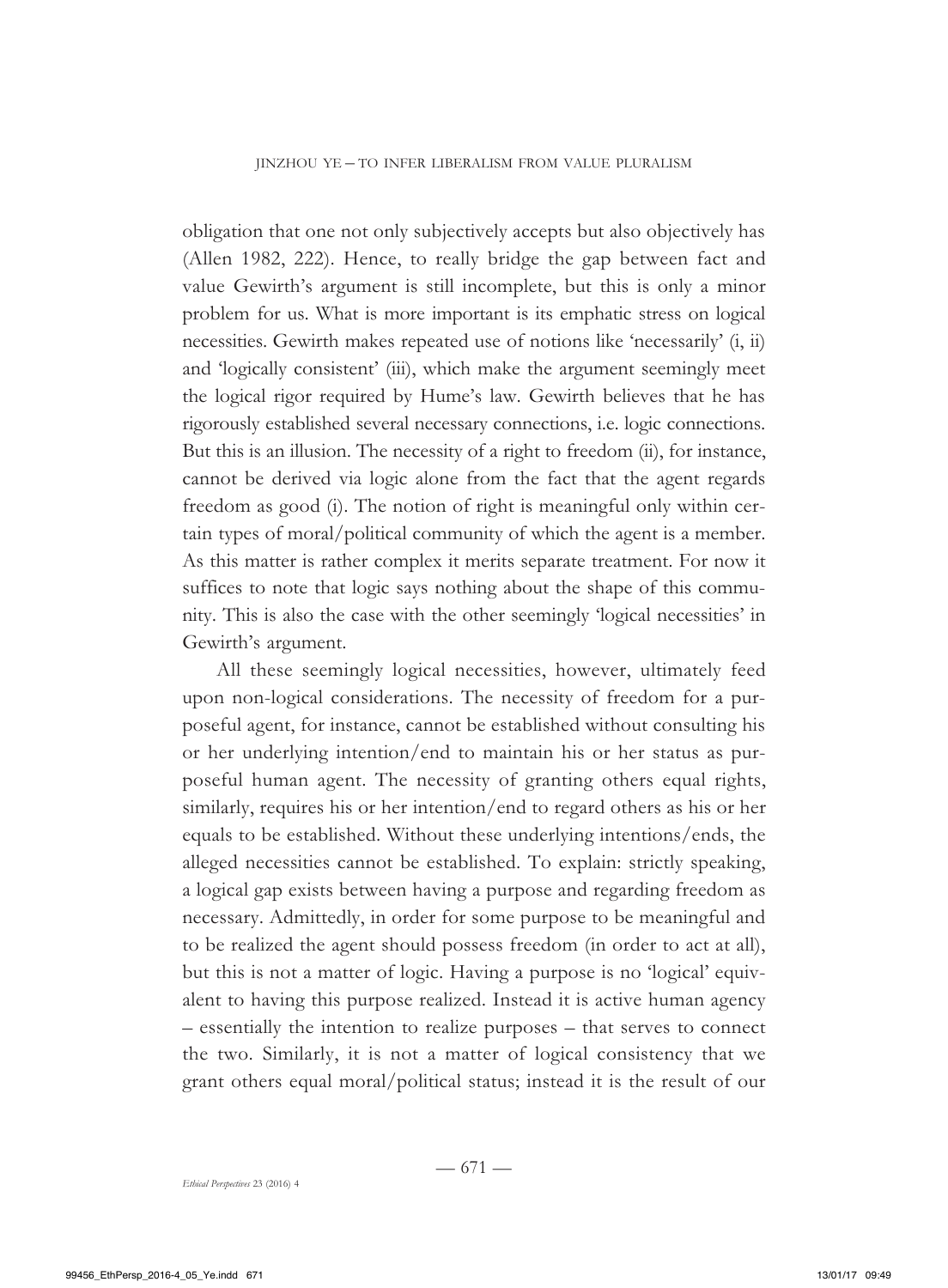obligation that one not only subjectively accepts but also objectively has (Allen 1982, 222). Hence, to really bridge the gap between fact and value Gewirth's argument is still incomplete, but this is only a minor problem for us. What is more important is its emphatic stress on logical necessities. Gewirth makes repeated use of notions like 'necessarily' (i, ii) and 'logically consistent' (iii), which make the argument seemingly meet the logical rigor required by Hume's law. Gewirth believes that he has rigorously established several necessary connections, i.e. logic connections. But this is an illusion. The necessity of a right to freedom (ii), for instance, cannot be derived via logic alone from the fact that the agent regards freedom as good (i). The notion of right is meaningful only within certain types of moral/political community of which the agent is a member. As this matter is rather complex it merits separate treatment. For now it suffices to note that logic says nothing about the shape of this community. This is also the case with the other seemingly 'logical necessities' in Gewirth's argument.

All these seemingly logical necessities, however, ultimately feed upon non-logical considerations. The necessity of freedom for a purposeful agent, for instance, cannot be established without consulting his or her underlying intention/end to maintain his or her status as purposeful human agent. The necessity of granting others equal rights, similarly, requires his or her intention/end to regard others as his or her equals to be established. Without these underlying intentions/ends, the alleged necessities cannot be established. To explain: strictly speaking, a logical gap exists between having a purpose and regarding freedom as necessary. Admittedly, in order for some purpose to be meaningful and to be realized the agent should possess freedom (in order to act at all), but this is not a matter of logic. Having a purpose is no 'logical' equivalent to having this purpose realized. Instead it is active human agency – essentially the intention to realize purposes – that serves to connect the two. Similarly, it is not a matter of logical consistency that we grant others equal moral/political status; instead it is the result of our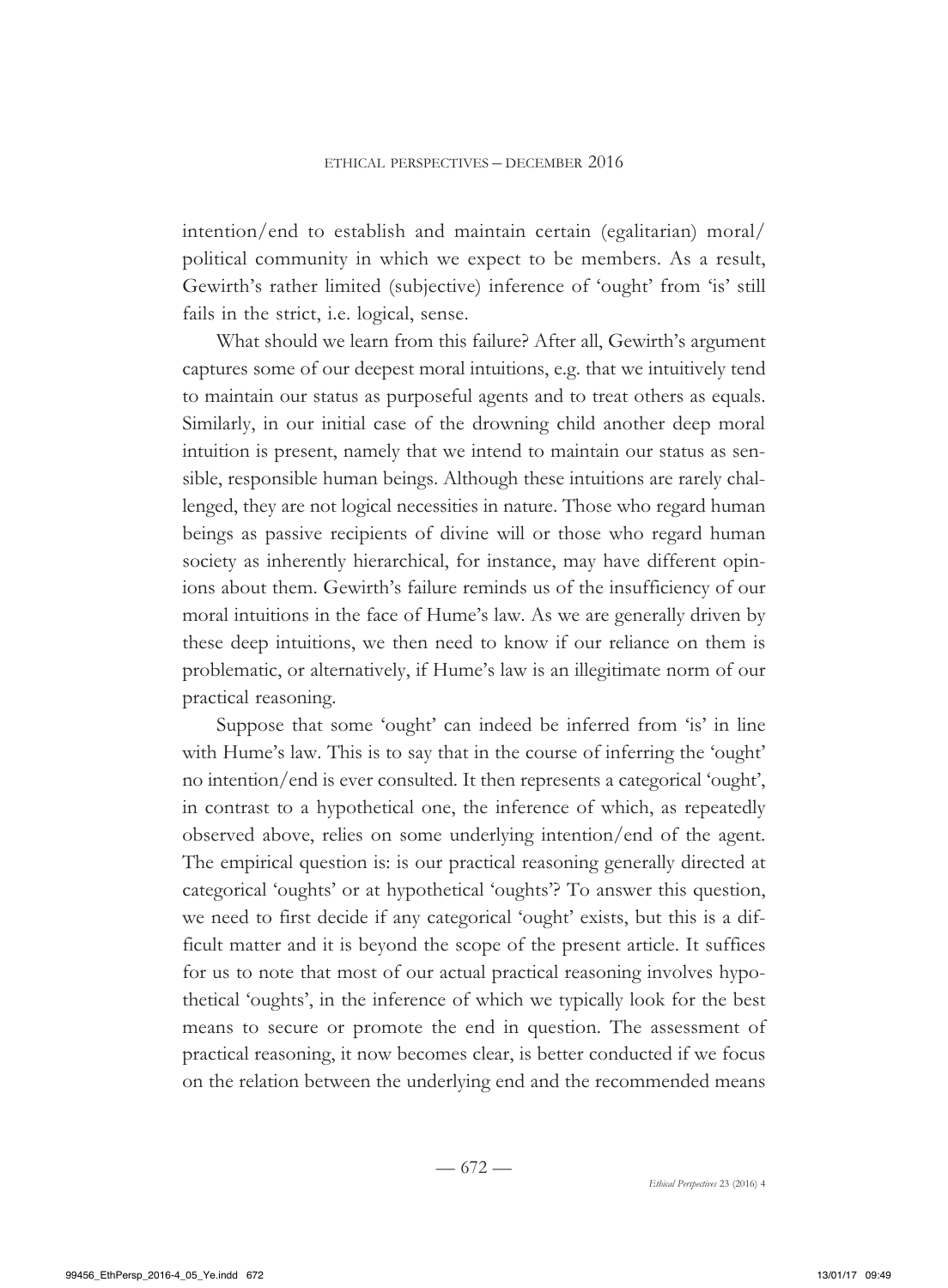intention/end to establish and maintain certain (egalitarian) moral/ political community in which we expect to be members. As a result, Gewirth's rather limited (subjective) inference of 'ought' from 'is' still fails in the strict, i.e. logical, sense.

What should we learn from this failure? After all, Gewirth's argument captures some of our deepest moral intuitions, e.g. that we intuitively tend to maintain our status as purposeful agents and to treat others as equals. Similarly, in our initial case of the drowning child another deep moral intuition is present, namely that we intend to maintain our status as sensible, responsible human beings. Although these intuitions are rarely challenged, they are not logical necessities in nature. Those who regard human beings as passive recipients of divine will or those who regard human society as inherently hierarchical, for instance, may have different opinions about them. Gewirth's failure reminds us of the insufficiency of our moral intuitions in the face of Hume's law. As we are generally driven by these deep intuitions, we then need to know if our reliance on them is problematic, or alternatively, if Hume's law is an illegitimate norm of our practical reasoning.

Suppose that some 'ought' can indeed be inferred from 'is' in line with Hume's law. This is to say that in the course of inferring the 'ought' no intention/end is ever consulted. It then represents a categorical 'ought', in contrast to a hypothetical one, the inference of which, as repeatedly observed above, relies on some underlying intention/end of the agent. The empirical question is: is our practical reasoning generally directed at categorical 'oughts' or at hypothetical 'oughts'? To answer this question, we need to first decide if any categorical 'ought' exists, but this is a difficult matter and it is beyond the scope of the present article. It suffices for us to note that most of our actual practical reasoning involves hypothetical 'oughts', in the inference of which we typically look for the best means to secure or promote the end in question. The assessment of practical reasoning, it now becomes clear, is better conducted if we focus on the relation between the underlying end and the recommended means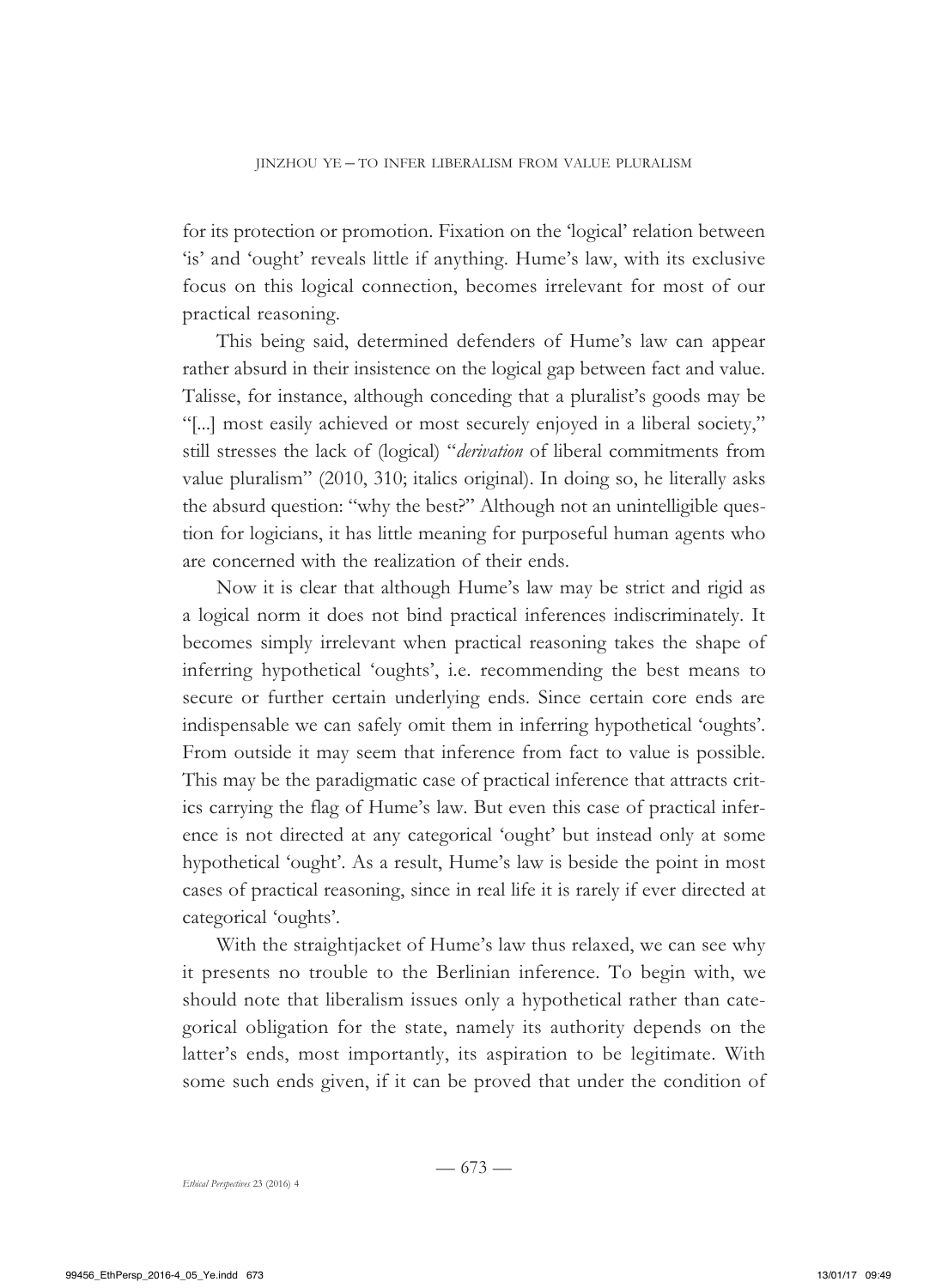for its protection or promotion. Fixation on the 'logical' relation between 'is' and 'ought' reveals little if anything. Hume's law, with its exclusive focus on this logical connection, becomes irrelevant for most of our practical reasoning.

This being said, determined defenders of Hume's law can appear rather absurd in their insistence on the logical gap between fact and value. Talisse, for instance, although conceding that a pluralist's goods may be "[...] most easily achieved or most securely enjoyed in a liberal society," still stresses the lack of (logical) "*derivation* of liberal commitments from value pluralism" (2010, 310; italics original). In doing so, he literally asks the absurd question: "why the best?" Although not an unintelligible question for logicians, it has little meaning for purposeful human agents who are concerned with the realization of their ends.

Now it is clear that although Hume's law may be strict and rigid as a logical norm it does not bind practical inferences indiscriminately. It becomes simply irrelevant when practical reasoning takes the shape of inferring hypothetical 'oughts', i.e. recommending the best means to secure or further certain underlying ends. Since certain core ends are indispensable we can safely omit them in inferring hypothetical 'oughts'. From outside it may seem that inference from fact to value is possible. This may be the paradigmatic case of practical inference that attracts critics carrying the flag of Hume's law. But even this case of practical inference is not directed at any categorical 'ought' but instead only at some hypothetical 'ought'. As a result, Hume's law is beside the point in most cases of practical reasoning, since in real life it is rarely if ever directed at categorical 'oughts'.

With the straightjacket of Hume's law thus relaxed, we can see why it presents no trouble to the Berlinian inference. To begin with, we should note that liberalism issues only a hypothetical rather than categorical obligation for the state, namely its authority depends on the latter's ends, most importantly, its aspiration to be legitimate. With some such ends given, if it can be proved that under the condition of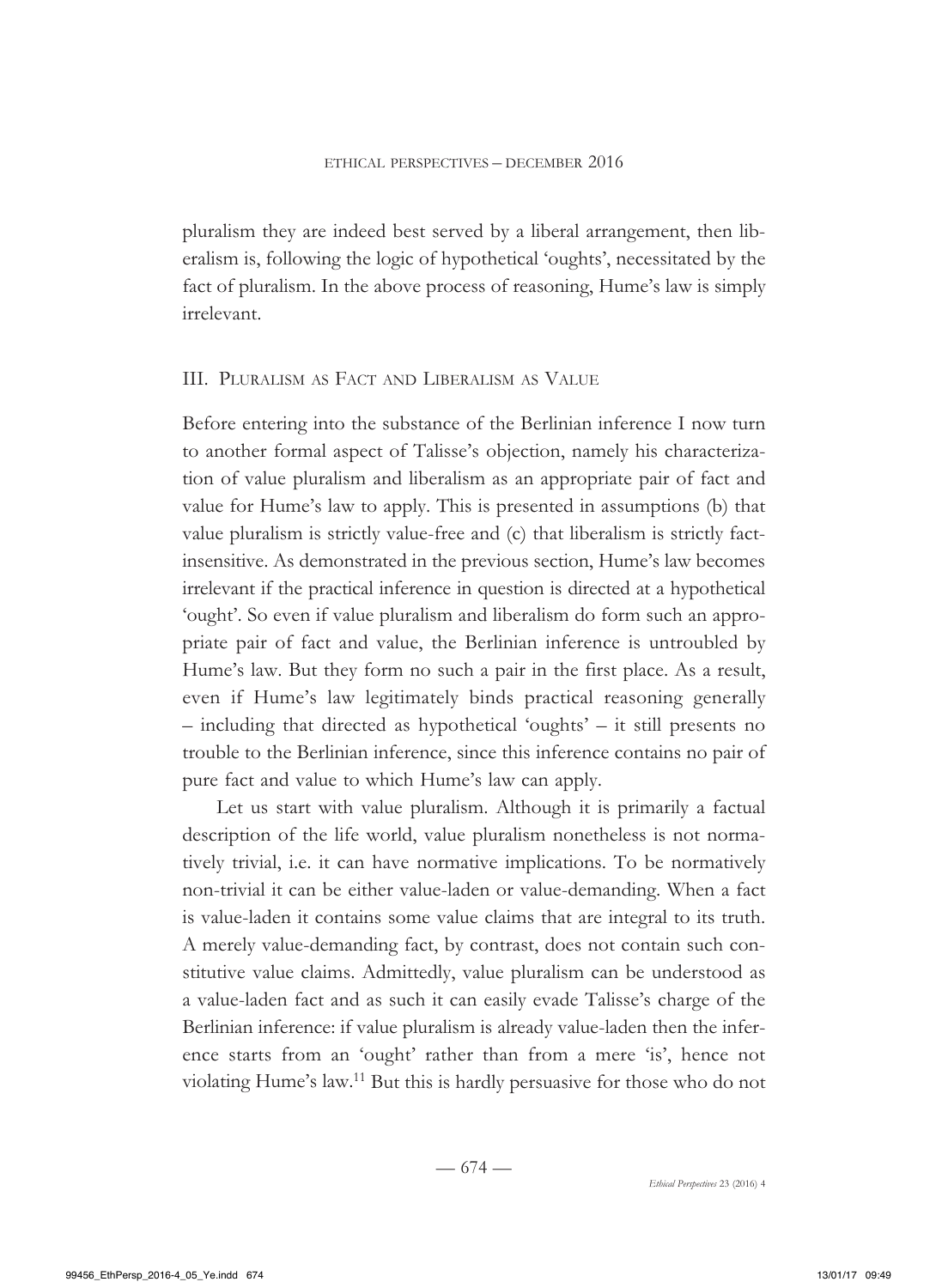pluralism they are indeed best served by a liberal arrangement, then liberalism is, following the logic of hypothetical 'oughts', necessitated by the fact of pluralism. In the above process of reasoning, Hume's law is simply irrelevant.

#### III. Pluralism as Fact and Liberalism as Value

Before entering into the substance of the Berlinian inference I now turn to another formal aspect of Talisse's objection, namely his characterization of value pluralism and liberalism as an appropriate pair of fact and value for Hume's law to apply. This is presented in assumptions (b) that value pluralism is strictly value-free and (c) that liberalism is strictly factinsensitive. As demonstrated in the previous section, Hume's law becomes irrelevant if the practical inference in question is directed at a hypothetical 'ought'. So even if value pluralism and liberalism do form such an appropriate pair of fact and value, the Berlinian inference is untroubled by Hume's law. But they form no such a pair in the first place. As a result, even if Hume's law legitimately binds practical reasoning generally – including that directed as hypothetical 'oughts' – it still presents no trouble to the Berlinian inference, since this inference contains no pair of pure fact and value to which Hume's law can apply.

Let us start with value pluralism. Although it is primarily a factual description of the life world, value pluralism nonetheless is not normatively trivial, i.e. it can have normative implications. To be normatively non-trivial it can be either value-laden or value-demanding. When a fact is value-laden it contains some value claims that are integral to its truth. A merely value-demanding fact, by contrast, does not contain such constitutive value claims. Admittedly, value pluralism can be understood as a value-laden fact and as such it can easily evade Talisse's charge of the Berlinian inference: if value pluralism is already value-laden then the inference starts from an 'ought' rather than from a mere 'is', hence not violating Hume's law.11 But this is hardly persuasive for those who do not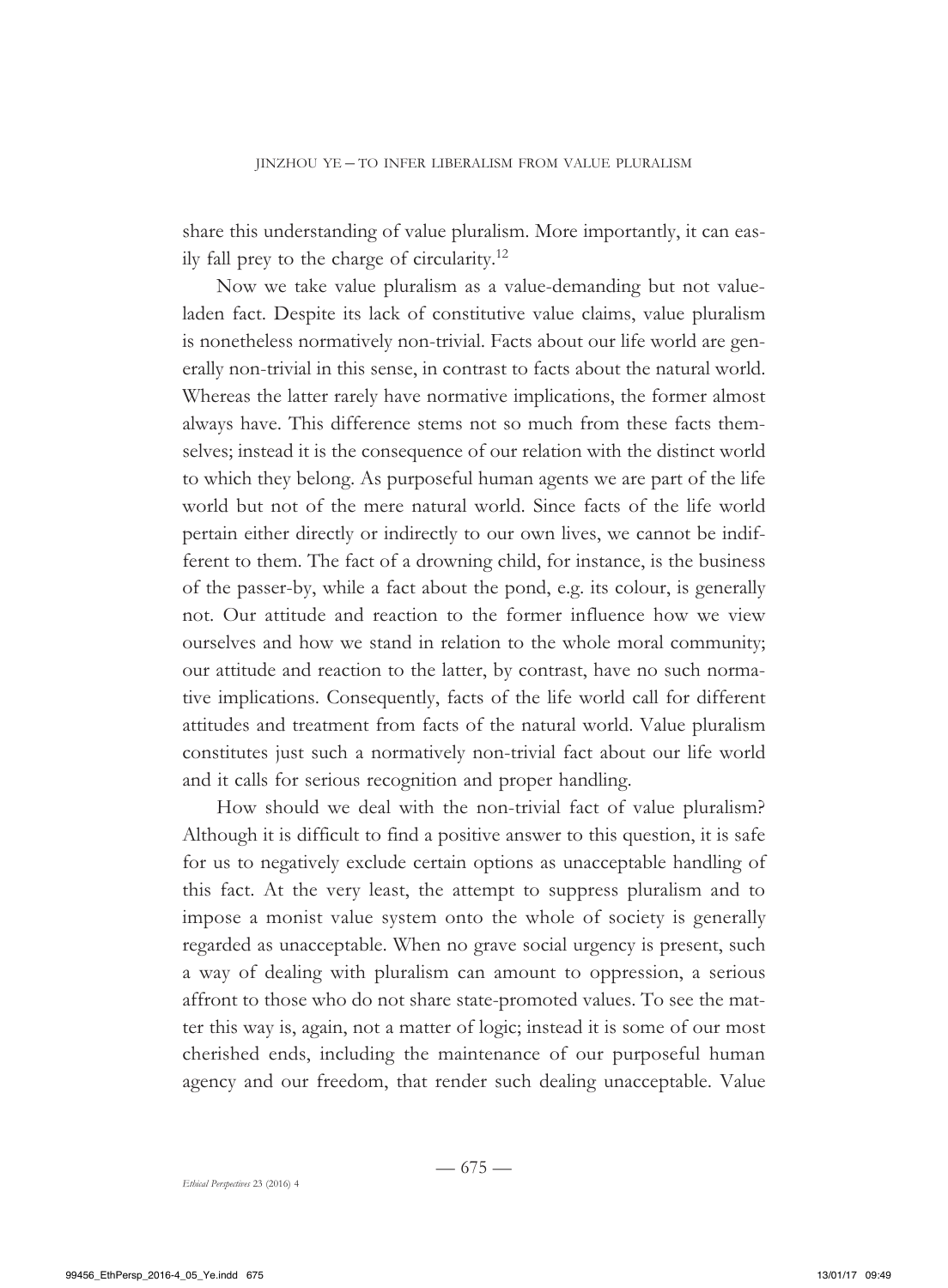share this understanding of value pluralism. More importantly, it can easily fall prey to the charge of circularity.<sup>12</sup>

Now we take value pluralism as a value-demanding but not valueladen fact. Despite its lack of constitutive value claims, value pluralism is nonetheless normatively non-trivial. Facts about our life world are generally non-trivial in this sense, in contrast to facts about the natural world. Whereas the latter rarely have normative implications, the former almost always have. This difference stems not so much from these facts themselves; instead it is the consequence of our relation with the distinct world to which they belong. As purposeful human agents we are part of the life world but not of the mere natural world. Since facts of the life world pertain either directly or indirectly to our own lives, we cannot be indifferent to them. The fact of a drowning child, for instance, is the business of the passer-by, while a fact about the pond, e.g. its colour, is generally not. Our attitude and reaction to the former influence how we view ourselves and how we stand in relation to the whole moral community; our attitude and reaction to the latter, by contrast, have no such normative implications. Consequently, facts of the life world call for different attitudes and treatment from facts of the natural world. Value pluralism constitutes just such a normatively non-trivial fact about our life world and it calls for serious recognition and proper handling.

How should we deal with the non-trivial fact of value pluralism? Although it is difficult to find a positive answer to this question, it is safe for us to negatively exclude certain options as unacceptable handling of this fact. At the very least, the attempt to suppress pluralism and to impose a monist value system onto the whole of society is generally regarded as unacceptable. When no grave social urgency is present, such a way of dealing with pluralism can amount to oppression, a serious affront to those who do not share state-promoted values. To see the matter this way is, again, not a matter of logic; instead it is some of our most cherished ends, including the maintenance of our purposeful human agency and our freedom, that render such dealing unacceptable. Value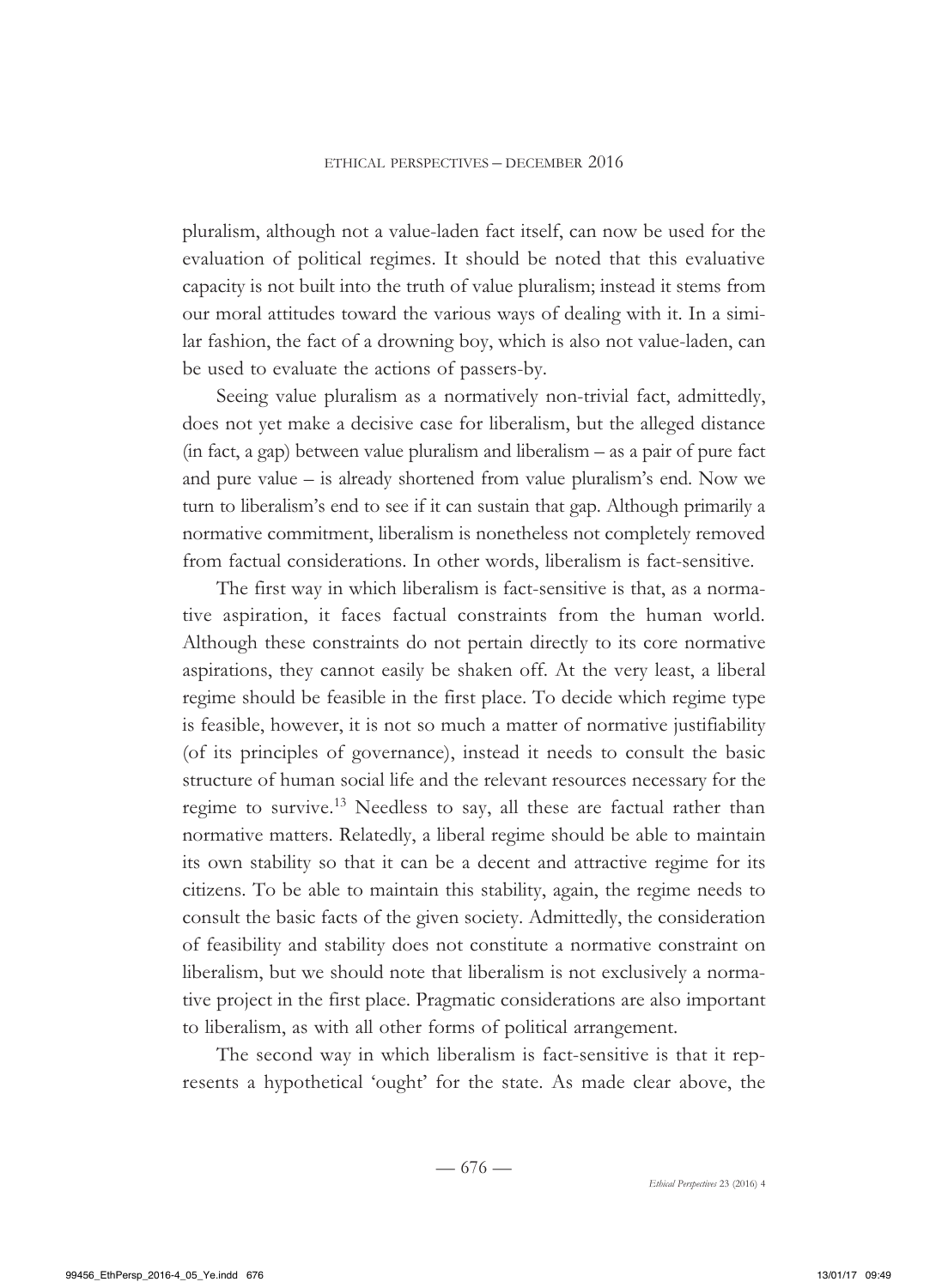pluralism, although not a value-laden fact itself, can now be used for the evaluation of political regimes. It should be noted that this evaluative capacity is not built into the truth of value pluralism; instead it stems from our moral attitudes toward the various ways of dealing with it. In a similar fashion, the fact of a drowning boy, which is also not value-laden, can be used to evaluate the actions of passers-by.

Seeing value pluralism as a normatively non-trivial fact, admittedly, does not yet make a decisive case for liberalism, but the alleged distance (in fact, a gap) between value pluralism and liberalism – as a pair of pure fact and pure value – is already shortened from value pluralism's end. Now we turn to liberalism's end to see if it can sustain that gap. Although primarily a normative commitment, liberalism is nonetheless not completely removed from factual considerations. In other words, liberalism is fact-sensitive.

The first way in which liberalism is fact-sensitive is that, as a normative aspiration, it faces factual constraints from the human world. Although these constraints do not pertain directly to its core normative aspirations, they cannot easily be shaken off. At the very least, a liberal regime should be feasible in the first place. To decide which regime type is feasible, however, it is not so much a matter of normative justifiability (of its principles of governance), instead it needs to consult the basic structure of human social life and the relevant resources necessary for the regime to survive.13 Needless to say, all these are factual rather than normative matters. Relatedly, a liberal regime should be able to maintain its own stability so that it can be a decent and attractive regime for its citizens. To be able to maintain this stability, again, the regime needs to consult the basic facts of the given society. Admittedly, the consideration of feasibility and stability does not constitute a normative constraint on liberalism, but we should note that liberalism is not exclusively a normative project in the first place. Pragmatic considerations are also important to liberalism, as with all other forms of political arrangement.

The second way in which liberalism is fact-sensitive is that it represents a hypothetical 'ought' for the state. As made clear above, the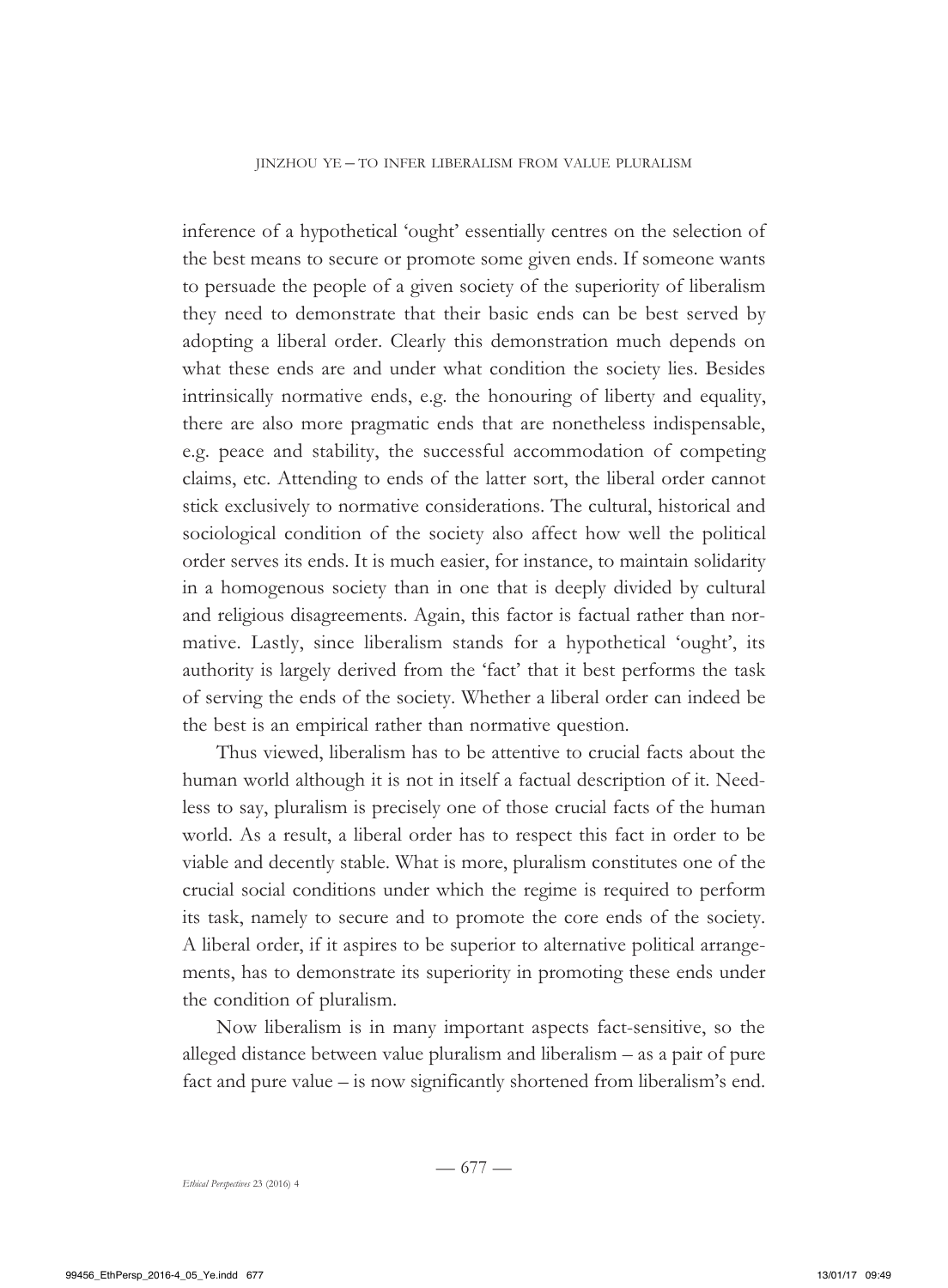inference of a hypothetical 'ought' essentially centres on the selection of the best means to secure or promote some given ends. If someone wants to persuade the people of a given society of the superiority of liberalism they need to demonstrate that their basic ends can be best served by adopting a liberal order. Clearly this demonstration much depends on what these ends are and under what condition the society lies. Besides intrinsically normative ends, e.g. the honouring of liberty and equality, there are also more pragmatic ends that are nonetheless indispensable, e.g. peace and stability, the successful accommodation of competing claims, etc. Attending to ends of the latter sort, the liberal order cannot stick exclusively to normative considerations. The cultural, historical and sociological condition of the society also affect how well the political order serves its ends. It is much easier, for instance, to maintain solidarity in a homogenous society than in one that is deeply divided by cultural and religious disagreements. Again, this factor is factual rather than normative. Lastly, since liberalism stands for a hypothetical 'ought', its authority is largely derived from the 'fact' that it best performs the task of serving the ends of the society. Whether a liberal order can indeed be the best is an empirical rather than normative question.

Thus viewed, liberalism has to be attentive to crucial facts about the human world although it is not in itself a factual description of it. Needless to say, pluralism is precisely one of those crucial facts of the human world. As a result, a liberal order has to respect this fact in order to be viable and decently stable. What is more, pluralism constitutes one of the crucial social conditions under which the regime is required to perform its task, namely to secure and to promote the core ends of the society. A liberal order, if it aspires to be superior to alternative political arrangements, has to demonstrate its superiority in promoting these ends under the condition of pluralism.

Now liberalism is in many important aspects fact-sensitive, so the alleged distance between value pluralism and liberalism – as a pair of pure fact and pure value – is now significantly shortened from liberalism's end.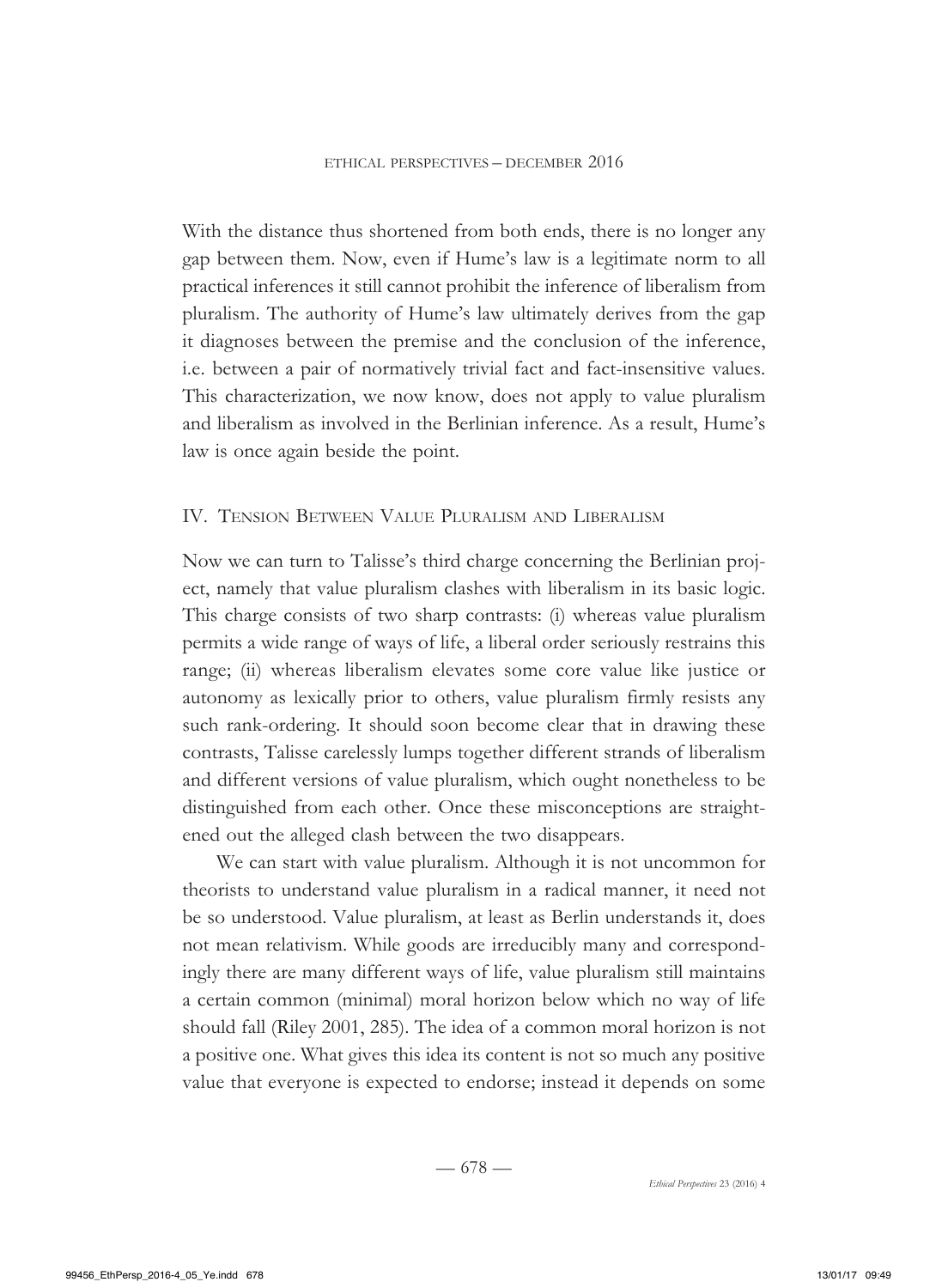With the distance thus shortened from both ends, there is no longer any gap between them. Now, even if Hume's law is a legitimate norm to all practical inferences it still cannot prohibit the inference of liberalism from pluralism. The authority of Hume's law ultimately derives from the gap it diagnoses between the premise and the conclusion of the inference, i.e. between a pair of normatively trivial fact and fact-insensitive values. This characterization, we now know, does not apply to value pluralism and liberalism as involved in the Berlinian inference. As a result, Hume's law is once again beside the point.

#### IV. Tension Between Value Pluralism and Liberalism

Now we can turn to Talisse's third charge concerning the Berlinian project, namely that value pluralism clashes with liberalism in its basic logic. This charge consists of two sharp contrasts: (i) whereas value pluralism permits a wide range of ways of life, a liberal order seriously restrains this range; (ii) whereas liberalism elevates some core value like justice or autonomy as lexically prior to others, value pluralism firmly resists any such rank-ordering. It should soon become clear that in drawing these contrasts, Talisse carelessly lumps together different strands of liberalism and different versions of value pluralism, which ought nonetheless to be distinguished from each other. Once these misconceptions are straightened out the alleged clash between the two disappears.

We can start with value pluralism. Although it is not uncommon for theorists to understand value pluralism in a radical manner, it need not be so understood. Value pluralism, at least as Berlin understands it, does not mean relativism. While goods are irreducibly many and correspondingly there are many different ways of life, value pluralism still maintains a certain common (minimal) moral horizon below which no way of life should fall (Riley 2001, 285). The idea of a common moral horizon is not a positive one. What gives this idea its content is not so much any positive value that everyone is expected to endorse; instead it depends on some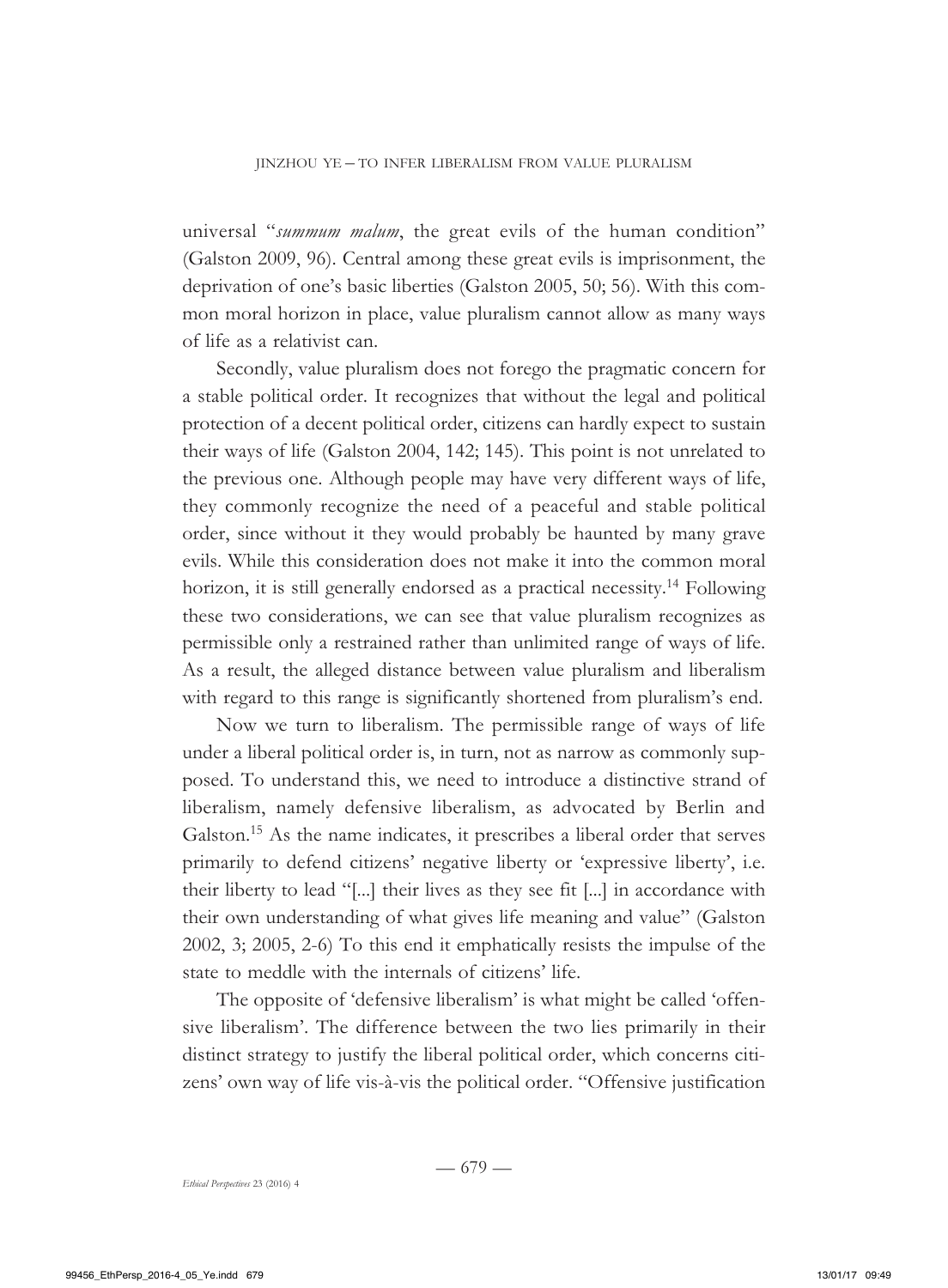universal "*summum malum*, the great evils of the human condition" (Galston 2009, 96). Central among these great evils is imprisonment, the deprivation of one's basic liberties (Galston 2005, 50; 56). With this common moral horizon in place, value pluralism cannot allow as many ways of life as a relativist can.

Secondly, value pluralism does not forego the pragmatic concern for a stable political order. It recognizes that without the legal and political protection of a decent political order, citizens can hardly expect to sustain their ways of life (Galston 2004, 142; 145). This point is not unrelated to the previous one. Although people may have very different ways of life, they commonly recognize the need of a peaceful and stable political order, since without it they would probably be haunted by many grave evils. While this consideration does not make it into the common moral horizon, it is still generally endorsed as a practical necessity.<sup>14</sup> Following these two considerations, we can see that value pluralism recognizes as permissible only a restrained rather than unlimited range of ways of life. As a result, the alleged distance between value pluralism and liberalism with regard to this range is significantly shortened from pluralism's end.

Now we turn to liberalism. The permissible range of ways of life under a liberal political order is, in turn, not as narrow as commonly supposed. To understand this, we need to introduce a distinctive strand of liberalism, namely defensive liberalism, as advocated by Berlin and Galston.<sup>15</sup> As the name indicates, it prescribes a liberal order that serves primarily to defend citizens' negative liberty or 'expressive liberty', i.e. their liberty to lead "[...] their lives as they see fit [...] in accordance with their own understanding of what gives life meaning and value" (Galston 2002, 3; 2005, 2-6) To this end it emphatically resists the impulse of the state to meddle with the internals of citizens' life.

The opposite of 'defensive liberalism' is what might be called 'offensive liberalism'. The difference between the two lies primarily in their distinct strategy to justify the liberal political order, which concerns citizens' own way of life vis-à-vis the political order. "Offensive justification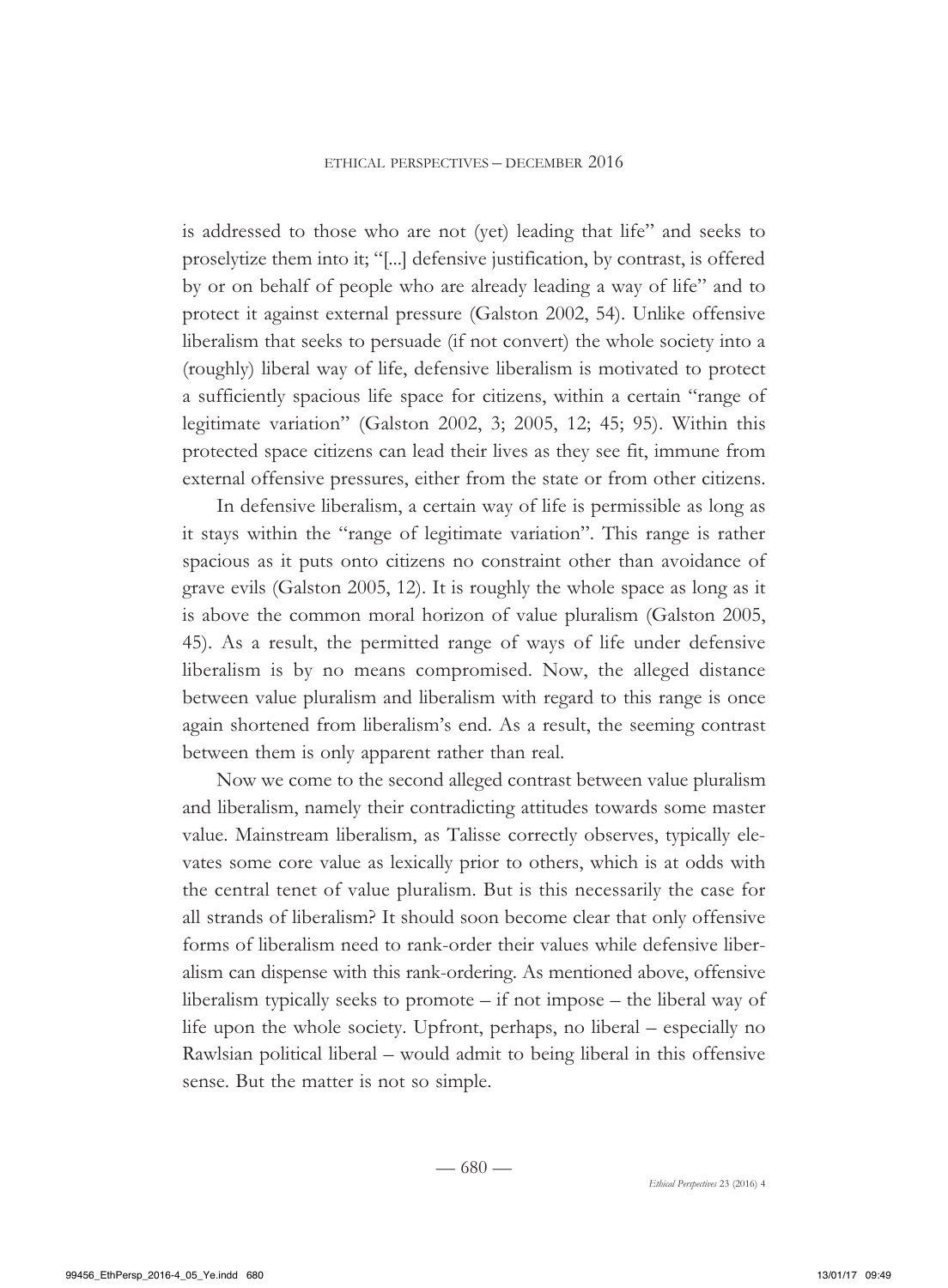is addressed to those who are not (yet) leading that life" and seeks to proselytize them into it; "[...] defensive justification, by contrast, is offered by or on behalf of people who are already leading a way of life" and to protect it against external pressure (Galston 2002, 54). Unlike offensive liberalism that seeks to persuade (if not convert) the whole society into a (roughly) liberal way of life, defensive liberalism is motivated to protect a sufficiently spacious life space for citizens, within a certain "range of legitimate variation" (Galston 2002, 3; 2005, 12; 45; 95). Within this protected space citizens can lead their lives as they see fit, immune from external offensive pressures, either from the state or from other citizens.

In defensive liberalism, a certain way of life is permissible as long as it stays within the "range of legitimate variation". This range is rather spacious as it puts onto citizens no constraint other than avoidance of grave evils (Galston 2005, 12). It is roughly the whole space as long as it is above the common moral horizon of value pluralism (Galston 2005, 45). As a result, the permitted range of ways of life under defensive liberalism is by no means compromised. Now, the alleged distance between value pluralism and liberalism with regard to this range is once again shortened from liberalism's end. As a result, the seeming contrast between them is only apparent rather than real.

Now we come to the second alleged contrast between value pluralism and liberalism, namely their contradicting attitudes towards some master value. Mainstream liberalism, as Talisse correctly observes, typically elevates some core value as lexically prior to others, which is at odds with the central tenet of value pluralism. But is this necessarily the case for all strands of liberalism? It should soon become clear that only offensive forms of liberalism need to rank-order their values while defensive liberalism can dispense with this rank-ordering. As mentioned above, offensive liberalism typically seeks to promote – if not impose – the liberal way of life upon the whole society. Upfront, perhaps, no liberal – especially no Rawlsian political liberal – would admit to being liberal in this offensive sense. But the matter is not so simple.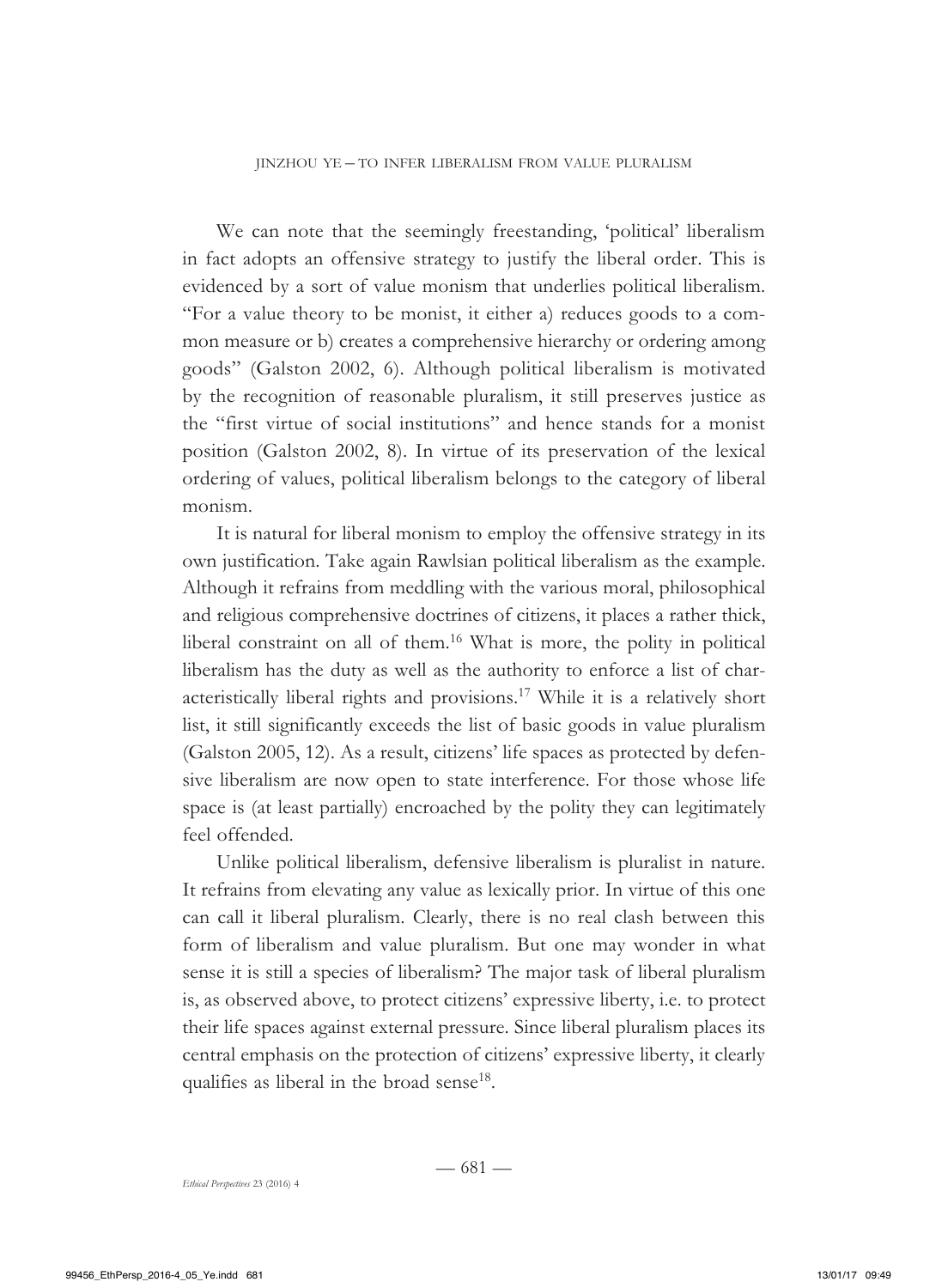We can note that the seemingly freestanding, 'political' liberalism in fact adopts an offensive strategy to justify the liberal order. This is evidenced by a sort of value monism that underlies political liberalism. "For a value theory to be monist, it either a) reduces goods to a common measure or b) creates a comprehensive hierarchy or ordering among goods" (Galston 2002, 6). Although political liberalism is motivated by the recognition of reasonable pluralism, it still preserves justice as the "first virtue of social institutions" and hence stands for a monist position (Galston 2002, 8). In virtue of its preservation of the lexical ordering of values, political liberalism belongs to the category of liberal monism.

It is natural for liberal monism to employ the offensive strategy in its own justification. Take again Rawlsian political liberalism as the example. Although it refrains from meddling with the various moral, philosophical and religious comprehensive doctrines of citizens, it places a rather thick, liberal constraint on all of them.16 What is more, the polity in political liberalism has the duty as well as the authority to enforce a list of characteristically liberal rights and provisions.17 While it is a relatively short list, it still significantly exceeds the list of basic goods in value pluralism (Galston 2005, 12). As a result, citizens' life spaces as protected by defensive liberalism are now open to state interference. For those whose life space is (at least partially) encroached by the polity they can legitimately feel offended.

Unlike political liberalism, defensive liberalism is pluralist in nature. It refrains from elevating any value as lexically prior. In virtue of this one can call it liberal pluralism. Clearly, there is no real clash between this form of liberalism and value pluralism. But one may wonder in what sense it is still a species of liberalism? The major task of liberal pluralism is, as observed above, to protect citizens' expressive liberty, i.e. to protect their life spaces against external pressure. Since liberal pluralism places its central emphasis on the protection of citizens' expressive liberty, it clearly qualifies as liberal in the broad sense<sup>18</sup>.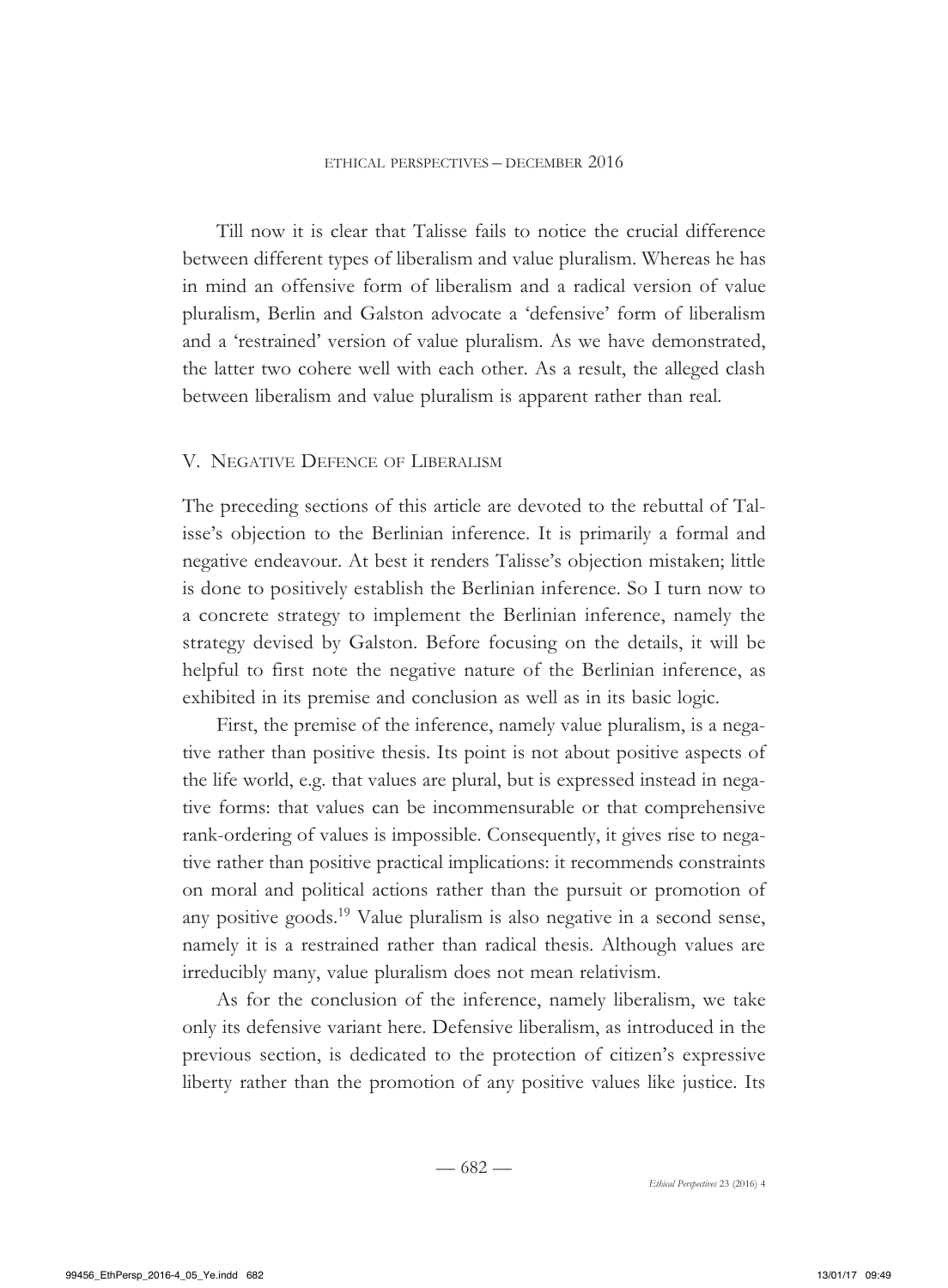Till now it is clear that Talisse fails to notice the crucial difference between different types of liberalism and value pluralism. Whereas he has in mind an offensive form of liberalism and a radical version of value pluralism, Berlin and Galston advocate a 'defensive' form of liberalism and a 'restrained' version of value pluralism. As we have demonstrated, the latter two cohere well with each other. As a result, the alleged clash between liberalism and value pluralism is apparent rather than real.

#### V. Negative Defence of Liberalism

The preceding sections of this article are devoted to the rebuttal of Talisse's objection to the Berlinian inference. It is primarily a formal and negative endeavour. At best it renders Talisse's objection mistaken; little is done to positively establish the Berlinian inference. So I turn now to a concrete strategy to implement the Berlinian inference, namely the strategy devised by Galston. Before focusing on the details, it will be helpful to first note the negative nature of the Berlinian inference, as exhibited in its premise and conclusion as well as in its basic logic.

First, the premise of the inference, namely value pluralism, is a negative rather than positive thesis. Its point is not about positive aspects of the life world, e.g. that values are plural, but is expressed instead in negative forms: that values can be incommensurable or that comprehensive rank-ordering of values is impossible. Consequently, it gives rise to negative rather than positive practical implications: it recommends constraints on moral and political actions rather than the pursuit or promotion of any positive goods.<sup>19</sup> Value pluralism is also negative in a second sense, namely it is a restrained rather than radical thesis. Although values are irreducibly many, value pluralism does not mean relativism.

As for the conclusion of the inference, namely liberalism, we take only its defensive variant here. Defensive liberalism, as introduced in the previous section, is dedicated to the protection of citizen's expressive liberty rather than the promotion of any positive values like justice. Its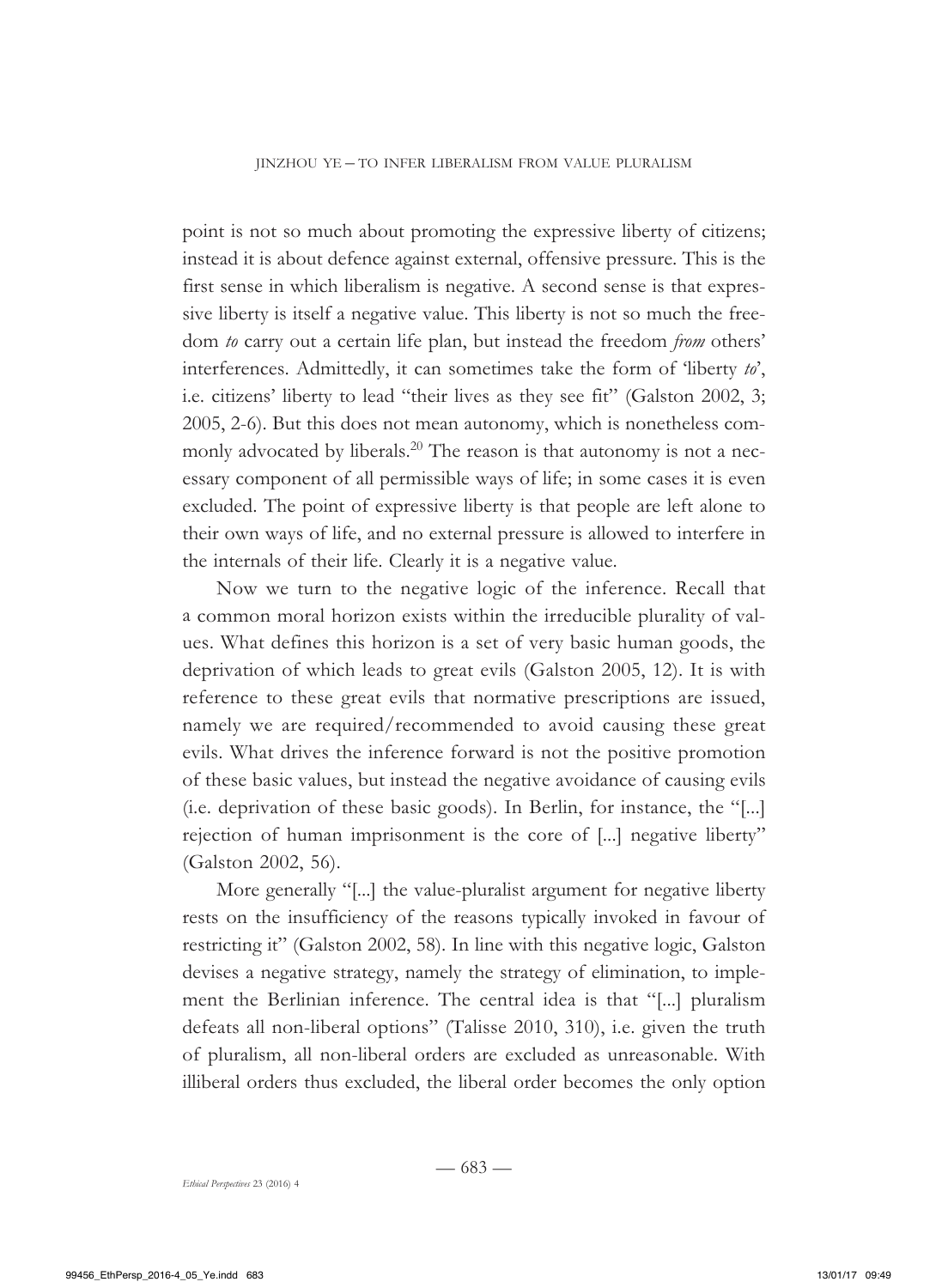point is not so much about promoting the expressive liberty of citizens; instead it is about defence against external, offensive pressure. This is the first sense in which liberalism is negative. A second sense is that expressive liberty is itself a negative value. This liberty is not so much the freedom *to* carry out a certain life plan, but instead the freedom *from* others' interferences. Admittedly, it can sometimes take the form of 'liberty *to*', i.e. citizens' liberty to lead "their lives as they see fit" (Galston 2002, 3; 2005, 2-6). But this does not mean autonomy, which is nonetheless commonly advocated by liberals.<sup>20</sup> The reason is that autonomy is not a necessary component of all permissible ways of life; in some cases it is even excluded. The point of expressive liberty is that people are left alone to their own ways of life, and no external pressure is allowed to interfere in the internals of their life. Clearly it is a negative value.

Now we turn to the negative logic of the inference. Recall that a common moral horizon exists within the irreducible plurality of values. What defines this horizon is a set of very basic human goods, the deprivation of which leads to great evils (Galston 2005, 12). It is with reference to these great evils that normative prescriptions are issued, namely we are required/recommended to avoid causing these great evils. What drives the inference forward is not the positive promotion of these basic values, but instead the negative avoidance of causing evils (i.e. deprivation of these basic goods). In Berlin, for instance, the "[...] rejection of human imprisonment is the core of [...] negative liberty" (Galston 2002, 56).

More generally "[...] the value-pluralist argument for negative liberty rests on the insufficiency of the reasons typically invoked in favour of restricting it" (Galston 2002, 58). In line with this negative logic, Galston devises a negative strategy, namely the strategy of elimination, to implement the Berlinian inference. The central idea is that "[...] pluralism defeats all non-liberal options" (Talisse 2010, 310), i.e. given the truth of pluralism, all non-liberal orders are excluded as unreasonable. With illiberal orders thus excluded, the liberal order becomes the only option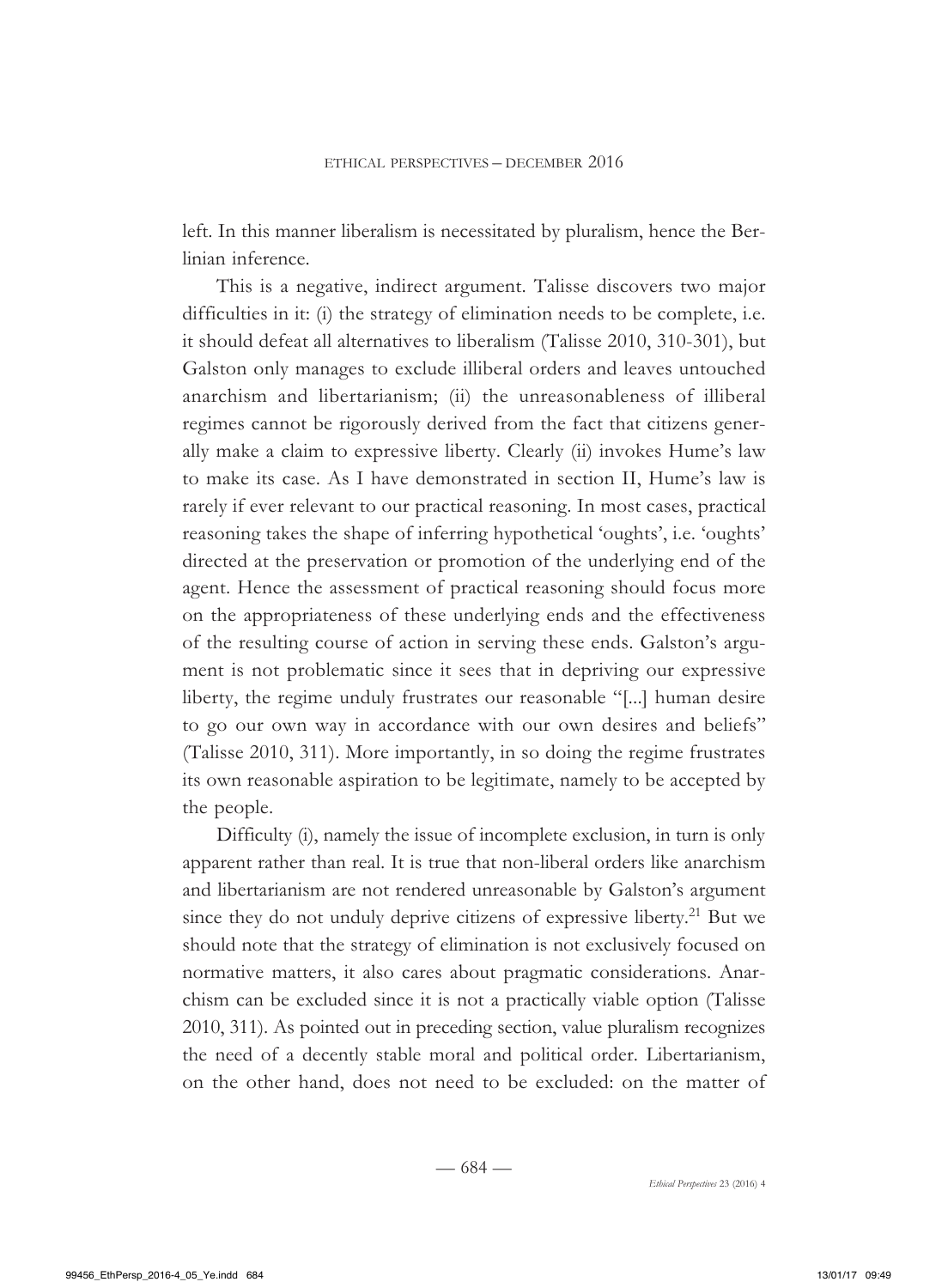left. In this manner liberalism is necessitated by pluralism, hence the Berlinian inference.

This is a negative, indirect argument. Talisse discovers two major difficulties in it: (i) the strategy of elimination needs to be complete, i.e. it should defeat all alternatives to liberalism (Talisse 2010, 310-301), but Galston only manages to exclude illiberal orders and leaves untouched anarchism and libertarianism; (ii) the unreasonableness of illiberal regimes cannot be rigorously derived from the fact that citizens generally make a claim to expressive liberty. Clearly (ii) invokes Hume's law to make its case. As I have demonstrated in section II, Hume's law is rarely if ever relevant to our practical reasoning. In most cases, practical reasoning takes the shape of inferring hypothetical 'oughts', i.e. 'oughts' directed at the preservation or promotion of the underlying end of the agent. Hence the assessment of practical reasoning should focus more on the appropriateness of these underlying ends and the effectiveness of the resulting course of action in serving these ends. Galston's argument is not problematic since it sees that in depriving our expressive liberty, the regime unduly frustrates our reasonable "[...] human desire to go our own way in accordance with our own desires and beliefs" (Talisse 2010, 311). More importantly, in so doing the regime frustrates its own reasonable aspiration to be legitimate, namely to be accepted by the people.

Difficulty (i), namely the issue of incomplete exclusion, in turn is only apparent rather than real. It is true that non-liberal orders like anarchism and libertarianism are not rendered unreasonable by Galston's argument since they do not unduly deprive citizens of expressive liberty.<sup>21</sup> But we should note that the strategy of elimination is not exclusively focused on normative matters, it also cares about pragmatic considerations. Anarchism can be excluded since it is not a practically viable option (Talisse 2010, 311). As pointed out in preceding section, value pluralism recognizes the need of a decently stable moral and political order. Libertarianism, on the other hand, does not need to be excluded: on the matter of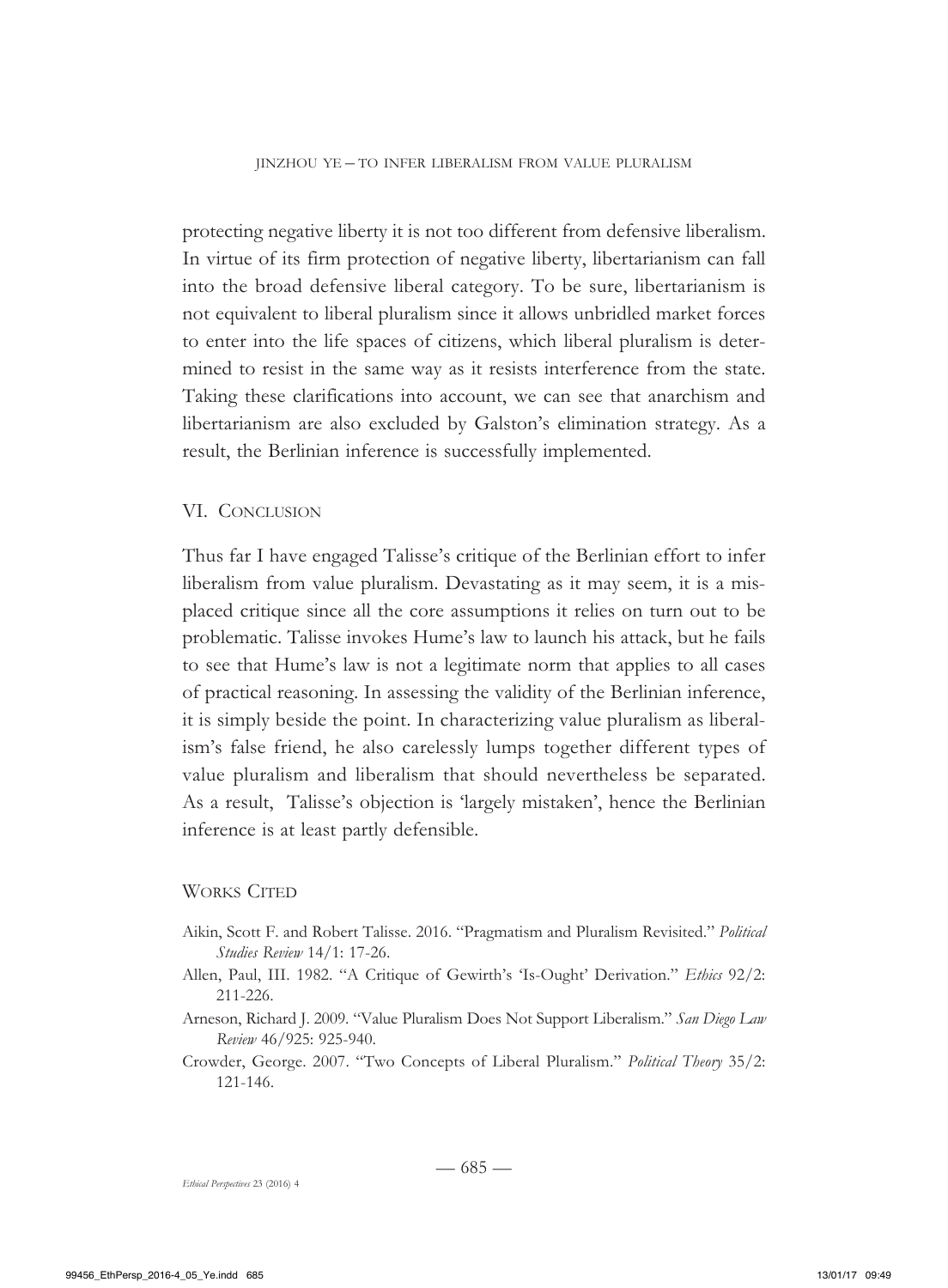protecting negative liberty it is not too different from defensive liberalism. In virtue of its firm protection of negative liberty, libertarianism can fall into the broad defensive liberal category. To be sure, libertarianism is not equivalent to liberal pluralism since it allows unbridled market forces to enter into the life spaces of citizens, which liberal pluralism is determined to resist in the same way as it resists interference from the state. Taking these clarifications into account, we can see that anarchism and libertarianism are also excluded by Galston's elimination strategy. As a result, the Berlinian inference is successfully implemented.

#### VI. Conclusion

Thus far I have engaged Talisse's critique of the Berlinian effort to infer liberalism from value pluralism. Devastating as it may seem, it is a misplaced critique since all the core assumptions it relies on turn out to be problematic. Talisse invokes Hume's law to launch his attack, but he fails to see that Hume's law is not a legitimate norm that applies to all cases of practical reasoning. In assessing the validity of the Berlinian inference, it is simply beside the point. In characterizing value pluralism as liberalism's false friend, he also carelessly lumps together different types of value pluralism and liberalism that should nevertheless be separated. As a result, Talisse's objection is 'largely mistaken', hence the Berlinian inference is at least partly defensible.

#### WORKS CITED

- Aikin, Scott F. and Robert Talisse. 2016. "Pragmatism and Pluralism Revisited." *Political Studies Review* 14/1: 17-26.
- Allen, Paul, III. 1982. "A Critique of Gewirth's 'Is-Ought' Derivation." *Ethics* 92/2: 211-226.
- Arneson, Richard J. 2009. "Value Pluralism Does Not Support Liberalism." *San Diego Law Review* 46/925: 925-940.
- Crowder, George. 2007. "Two Concepts of Liberal Pluralism." *Political Theory* 35/2: 121-146.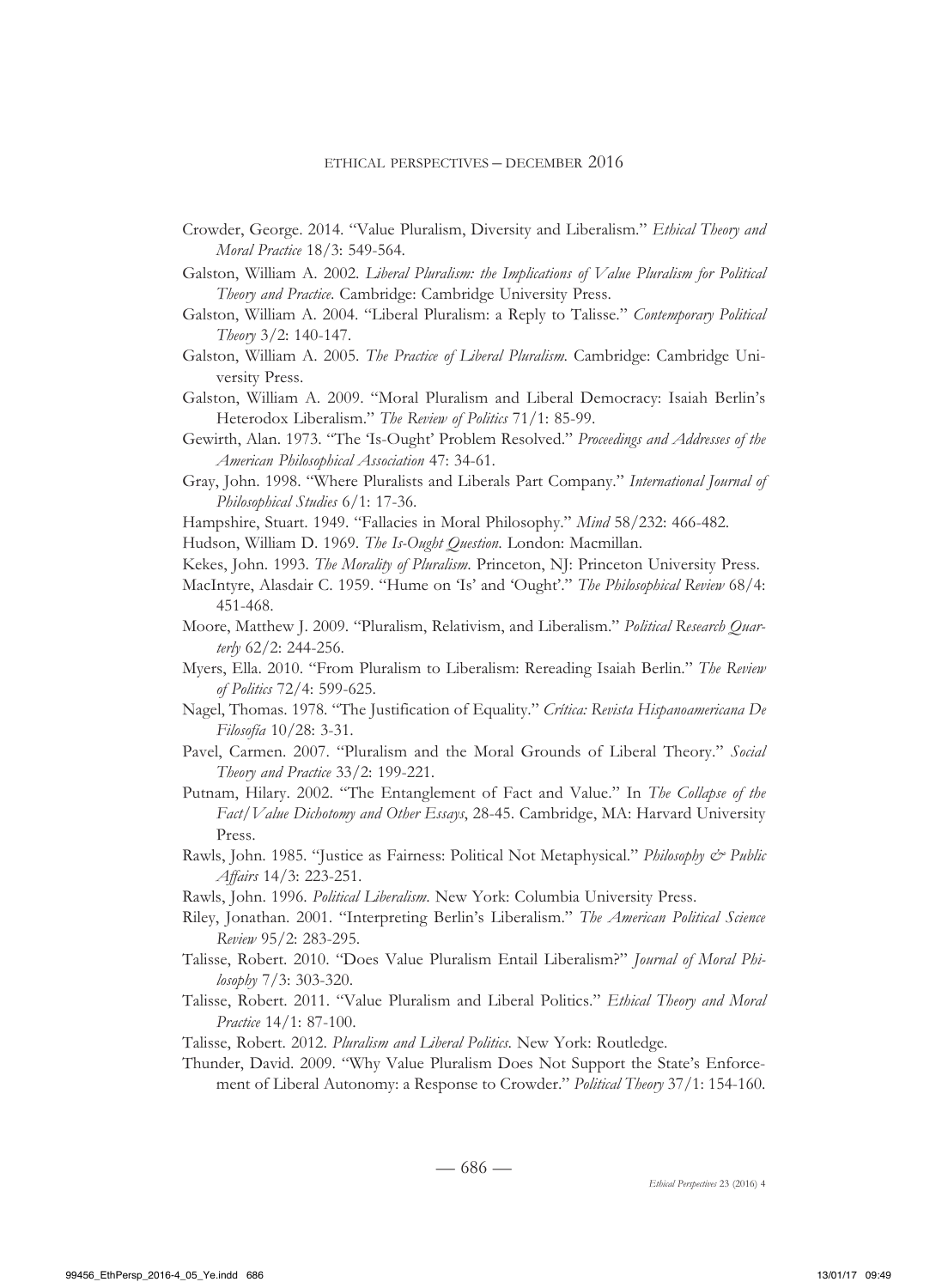- Crowder, George. 2014. "Value Pluralism, Diversity and Liberalism." *Ethical Theory and Moral Practice* 18/3: 549-564.
- Galston, William A. 2002. *Liberal Pluralism: the Implications of Value Pluralism for Political Theory and Practice*. Cambridge: Cambridge University Press.
- Galston, William A. 2004. "Liberal Pluralism: a Reply to Talisse." *Contemporary Political Theory* 3/2: 140-147.
- Galston, William A. 2005. *The Practice of Liberal Pluralism*. Cambridge: Cambridge University Press.
- Galston, William A. 2009. "Moral Pluralism and Liberal Democracy: Isaiah Berlin's Heterodox Liberalism." *The Review of Politics* 71/1: 85-99.
- Gewirth, Alan. 1973. "The 'Is-Ought' Problem Resolved." *Proceedings and Addresses of the American Philosophical Association* 47: 34-61.
- Gray, John. 1998. "Where Pluralists and Liberals Part Company." *International Journal of Philosophical Studies* 6/1: 17-36.
- Hampshire, Stuart. 1949. "Fallacies in Moral Philosophy." *Mind* 58/232: 466-482.
- Hudson, William D. 1969. *The Is-Ought Question*. London: Macmillan.
- Kekes, John. 1993. *The Morality of Pluralism*. Princeton, NJ: Princeton University Press.
- MacIntyre, Alasdair C. 1959. "Hume on 'Is' and 'Ought'." *The Philosophical Review* 68/4: 451-468.
- Moore, Matthew J. 2009. "Pluralism, Relativism, and Liberalism." *Political Research Quarterly* 62/2: 244-256.
- Myers, Ella. 2010. "From Pluralism to Liberalism: Rereading Isaiah Berlin." *The Review of Politics* 72/4: 599-625.
- Nagel, Thomas. 1978. "The Justification of Equality." *Crítica: Revista Hispanoamericana De Filosofía* 10/28: 3-31.
- Pavel, Carmen. 2007. "Pluralism and the Moral Grounds of Liberal Theory." *Social Theory and Practice* 33/2: 199-221.
- Putnam, Hilary. 2002. "The Entanglement of Fact and Value." In *The Collapse of the Fact/Value Dichotomy and Other Essays*, 28-45. Cambridge, MA: Harvard University Press.
- Rawls, John. 1985. "Justice as Fairness: Political Not Metaphysical." *Philosophy & Public Affairs* 14/3: 223-251.
- Rawls, John. 1996. *Political Liberalism*. New York: Columbia University Press.
- Riley, Jonathan. 2001. "Interpreting Berlin's Liberalism." *The American Political Science Review* 95/2: 283-295.
- Talisse, Robert. 2010. "Does Value Pluralism Entail Liberalism?" *Journal of Moral Philosophy* 7/3: 303-320.
- Talisse, Robert. 2011. "Value Pluralism and Liberal Politics." *Ethical Theory and Moral Practice* 14/1: 87-100.
- Talisse, Robert. 2012. *Pluralism and Liberal Politics*. New York: Routledge.
- Thunder, David. 2009. "Why Value Pluralism Does Not Support the State's Enforcement of Liberal Autonomy: a Response to Crowder." *Political Theory* 37/1: 154-160.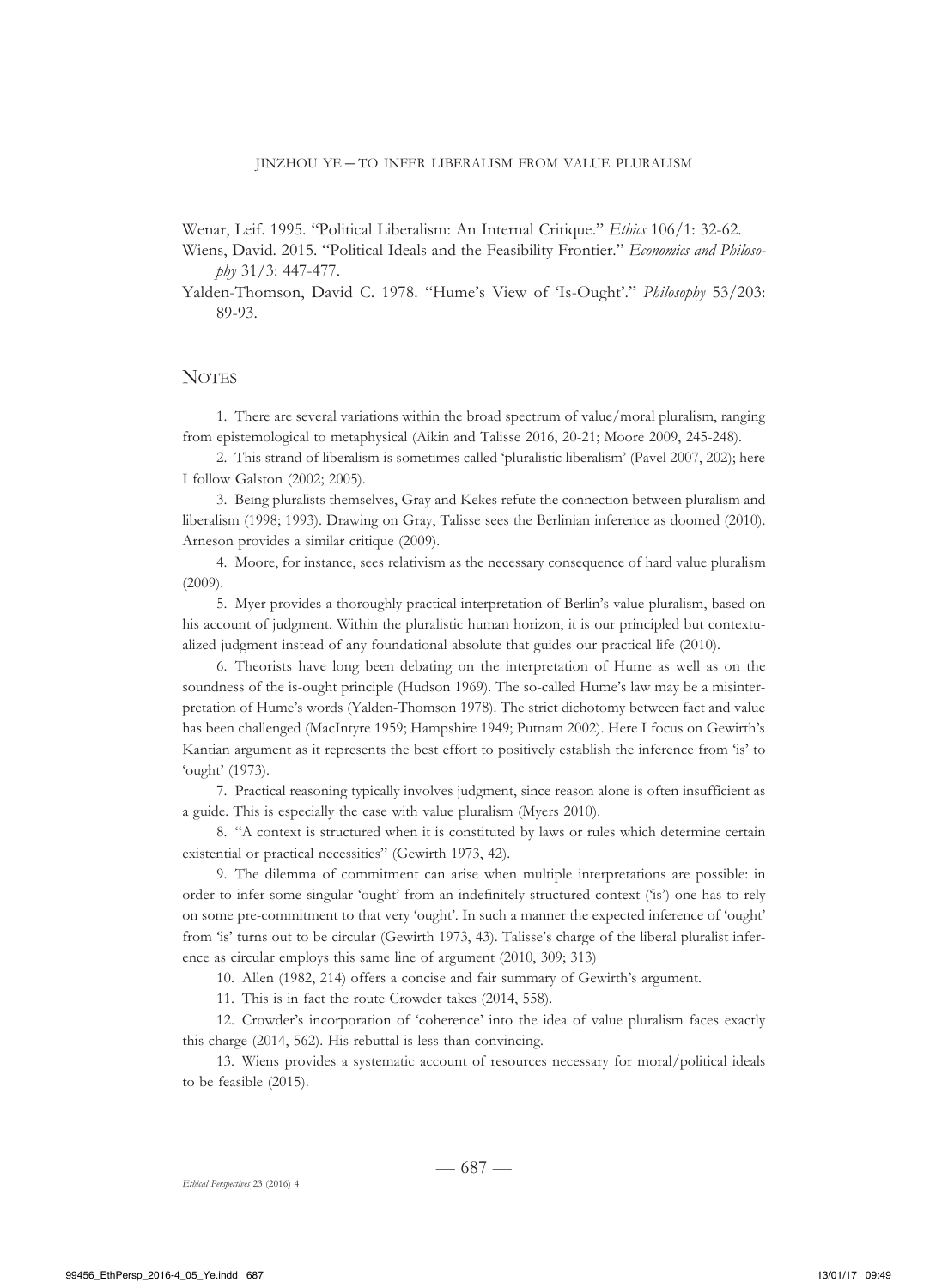Wenar, Leif. 1995. "Political Liberalism: An Internal Critique." *Ethics* 106/1: 32-62.

Wiens, David. 2015. "Political Ideals and the Feasibility Frontier." *Economics and Philosophy* 31/3: 447-477.

Yalden-Thomson, David C. 1978. "Hume's View of 'Is-Ought'." *Philosophy* 53/203: 89-93.

#### **NOTES**

1. There are several variations within the broad spectrum of value/moral pluralism, ranging from epistemological to metaphysical (Aikin and Talisse 2016, 20-21; Moore 2009, 245-248).

2. This strand of liberalism is sometimes called 'pluralistic liberalism' (Pavel 2007, 202); here I follow Galston (2002; 2005).

3. Being pluralists themselves, Gray and Kekes refute the connection between pluralism and liberalism (1998; 1993). Drawing on Gray, Talisse sees the Berlinian inference as doomed (2010). Arneson provides a similar critique (2009).

4. Moore, for instance, sees relativism as the necessary consequence of hard value pluralism (2009).

5. Myer provides a thoroughly practical interpretation of Berlin's value pluralism, based on his account of judgment. Within the pluralistic human horizon, it is our principled but contextualized judgment instead of any foundational absolute that guides our practical life (2010).

6. Theorists have long been debating on the interpretation of Hume as well as on the soundness of the is-ought principle (Hudson 1969). The so-called Hume's law may be a misinterpretation of Hume's words (Yalden-Thomson 1978). The strict dichotomy between fact and value has been challenged (MacIntyre 1959; Hampshire 1949; Putnam 2002). Here I focus on Gewirth's Kantian argument as it represents the best effort to positively establish the inference from 'is' to 'ought' (1973).

7. Practical reasoning typically involves judgment, since reason alone is often insufficient as a guide. This is especially the case with value pluralism (Myers 2010).

8. "A context is structured when it is constituted by laws or rules which determine certain existential or practical necessities" (Gewirth 1973, 42).

9. The dilemma of commitment can arise when multiple interpretations are possible: in order to infer some singular 'ought' from an indefinitely structured context ('is') one has to rely on some pre-commitment to that very 'ought'. In such a manner the expected inference of 'ought' from 'is' turns out to be circular (Gewirth 1973, 43). Talisse's charge of the liberal pluralist inference as circular employs this same line of argument (2010, 309; 313)

10. Allen (1982, 214) offers a concise and fair summary of Gewirth's argument.

11. This is in fact the route Crowder takes (2014, 558).

12. Crowder's incorporation of 'coherence' into the idea of value pluralism faces exactly this charge (2014, 562). His rebuttal is less than convincing.

13. Wiens provides a systematic account of resources necessary for moral/political ideals to be feasible (2015).